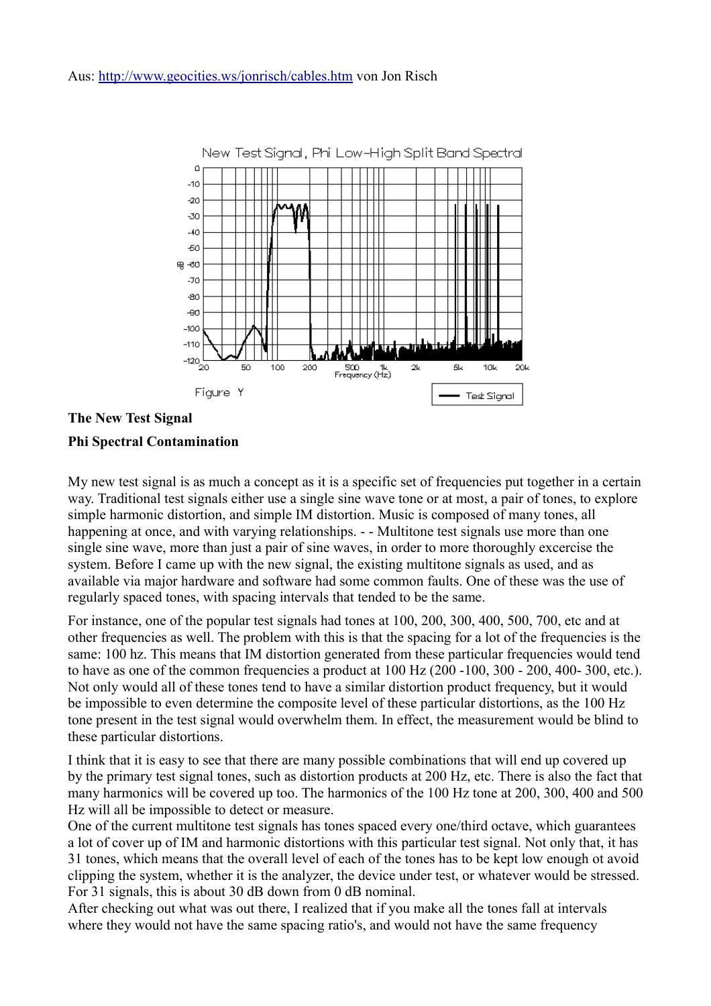

**The New Test Signal Phi Spectral Contamination**

My new test signal is as much a concept as it is a specific set of frequencies put together in a certain way. Traditional test signals either use a single sine wave tone or at most, a pair of tones, to explore simple harmonic distortion, and simple IM distortion. Music is composed of many tones, all happening at once, and with varying relationships. - - Multitone test signals use more than one single sine wave, more than just a pair of sine waves, in order to more thoroughly excercise the system. Before I came up with the new signal, the existing multitone signals as used, and as available via major hardware and software had some common faults. One of these was the use of regularly spaced tones, with spacing intervals that tended to be the same.

For instance, one of the popular test signals had tones at 100, 200, 300, 400, 500, 700, etc and at other frequencies as well. The problem with this is that the spacing for a lot of the frequencies is the same: 100 hz. This means that IM distortion generated from these particular frequencies would tend to have as one of the common frequencies a product at 100 Hz (200 -100, 300 - 200, 400- 300, etc.). Not only would all of these tones tend to have a similar distortion product frequency, but it would be impossible to even determine the composite level of these particular distortions, as the 100 Hz tone present in the test signal would overwhelm them. In effect, the measurement would be blind to these particular distortions.

I think that it is easy to see that there are many possible combinations that will end up covered up by the primary test signal tones, such as distortion products at 200 Hz, etc. There is also the fact that many harmonics will be covered up too. The harmonics of the 100 Hz tone at 200, 300, 400 and 500 Hz will all be impossible to detect or measure.

One of the current multitone test signals has tones spaced every one/third octave, which guarantees a lot of cover up of IM and harmonic distortions with this particular test signal. Not only that, it has 31 tones, which means that the overall level of each of the tones has to be kept low enough ot avoid clipping the system, whether it is the analyzer, the device under test, or whatever would be stressed. For 31 signals, this is about 30 dB down from 0 dB nominal.

After checking out what was out there, I realized that if you make all the tones fall at intervals where they would not have the same spacing ratio's, and would not have the same frequency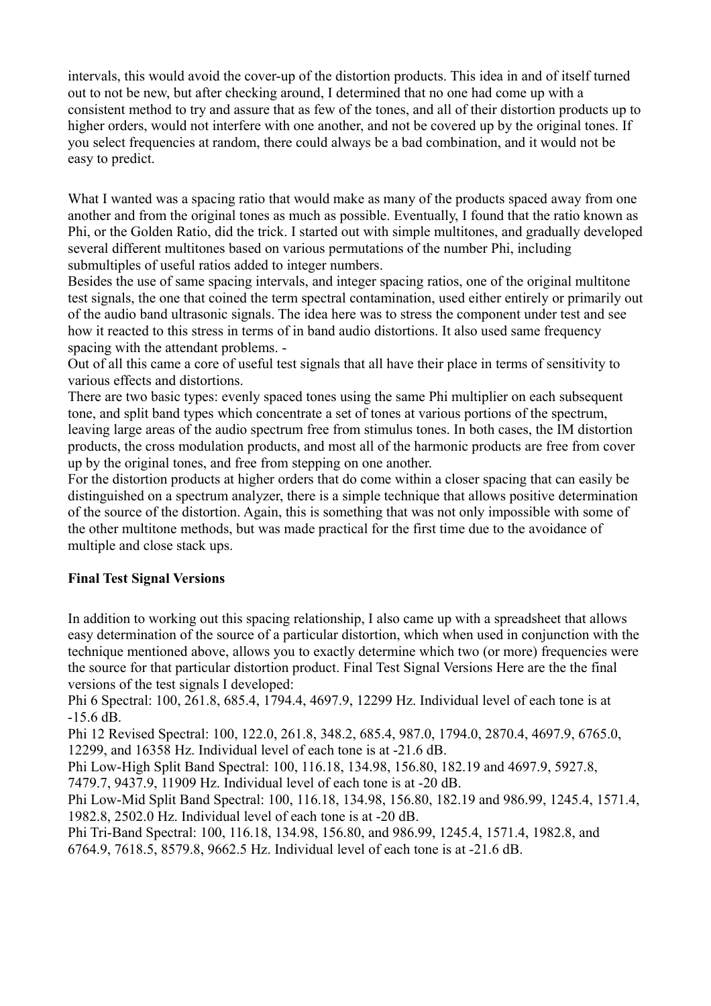intervals, this would avoid the cover-up of the distortion products. This idea in and of itself turned out to not be new, but after checking around, I determined that no one had come up with a consistent method to try and assure that as few of the tones, and all of their distortion products up to higher orders, would not interfere with one another, and not be covered up by the original tones. If you select frequencies at random, there could always be a bad combination, and it would not be easy to predict.

What I wanted was a spacing ratio that would make as many of the products spaced away from one another and from the original tones as much as possible. Eventually, I found that the ratio known as Phi, or the Golden Ratio, did the trick. I started out with simple multitones, and gradually developed several different multitones based on various permutations of the number Phi, including submultiples of useful ratios added to integer numbers.

Besides the use of same spacing intervals, and integer spacing ratios, one of the original multitone test signals, the one that coined the term spectral contamination, used either entirely or primarily out of the audio band ultrasonic signals. The idea here was to stress the component under test and see how it reacted to this stress in terms of in band audio distortions. It also used same frequency spacing with the attendant problems. -

Out of all this came a core of useful test signals that all have their place in terms of sensitivity to various effects and distortions.

There are two basic types: evenly spaced tones using the same Phi multiplier on each subsequent tone, and split band types which concentrate a set of tones at various portions of the spectrum, leaving large areas of the audio spectrum free from stimulus tones. In both cases, the IM distortion products, the cross modulation products, and most all of the harmonic products are free from cover up by the original tones, and free from stepping on one another.

For the distortion products at higher orders that do come within a closer spacing that can easily be distinguished on a spectrum analyzer, there is a simple technique that allows positive determination of the source of the distortion. Again, this is something that was not only impossible with some of the other multitone methods, but was made practical for the first time due to the avoidance of multiple and close stack ups.

### **Final Test Signal Versions**

In addition to working out this spacing relationship, I also came up with a spreadsheet that allows easy determination of the source of a particular distortion, which when used in conjunction with the technique mentioned above, allows you to exactly determine which two (or more) frequencies were the source for that particular distortion product. Final Test Signal Versions Here are the the final versions of the test signals I developed:

Phi 6 Spectral: 100, 261.8, 685.4, 1794.4, 4697.9, 12299 Hz. Individual level of each tone is at -15.6 dB.

Phi 12 Revised Spectral: 100, 122.0, 261.8, 348.2, 685.4, 987.0, 1794.0, 2870.4, 4697.9, 6765.0, 12299, and 16358 Hz. Individual level of each tone is at -21.6 dB.

Phi Low-High Split Band Spectral: 100, 116.18, 134.98, 156.80, 182.19 and 4697.9, 5927.8, 7479.7, 9437.9, 11909 Hz. Individual level of each tone is at -20 dB.

Phi Low-Mid Split Band Spectral: 100, 116.18, 134.98, 156.80, 182.19 and 986.99, 1245.4, 1571.4, 1982.8, 2502.0 Hz. Individual level of each tone is at -20 dB.

Phi Tri-Band Spectral: 100, 116.18, 134.98, 156.80, and 986.99, 1245.4, 1571.4, 1982.8, and 6764.9, 7618.5, 8579.8, 9662.5 Hz. Individual level of each tone is at -21.6 dB.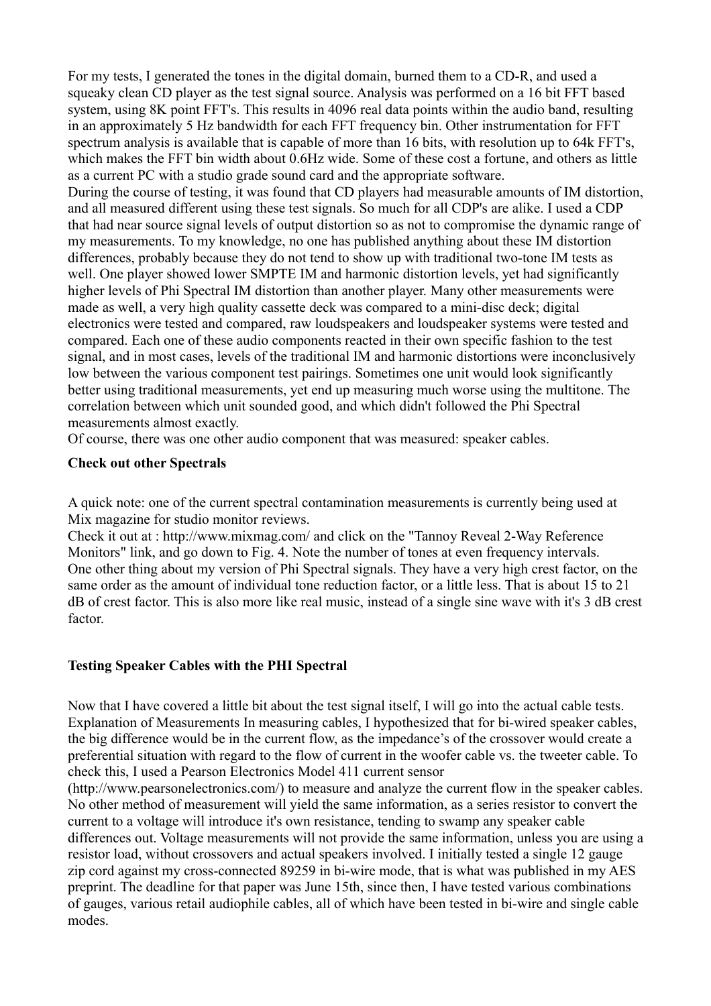For my tests, I generated the tones in the digital domain, burned them to a CD-R, and used a squeaky clean CD player as the test signal source. Analysis was performed on a 16 bit FFT based system, using 8K point FFT's. This results in 4096 real data points within the audio band, resulting in an approximately 5 Hz bandwidth for each FFT frequency bin. Other instrumentation for FFT spectrum analysis is available that is capable of more than 16 bits, with resolution up to 64k FFT's, which makes the FFT bin width about 0.6Hz wide. Some of these cost a fortune, and others as little as a current PC with a studio grade sound card and the appropriate software.

During the course of testing, it was found that CD players had measurable amounts of IM distortion, and all measured different using these test signals. So much for all CDP's are alike. I used a CDP that had near source signal levels of output distortion so as not to compromise the dynamic range of my measurements. To my knowledge, no one has published anything about these IM distortion differences, probably because they do not tend to show up with traditional two-tone IM tests as well. One player showed lower SMPTE IM and harmonic distortion levels, yet had significantly higher levels of Phi Spectral IM distortion than another player. Many other measurements were made as well, a very high quality cassette deck was compared to a mini-disc deck; digital electronics were tested and compared, raw loudspeakers and loudspeaker systems were tested and compared. Each one of these audio components reacted in their own specific fashion to the test signal, and in most cases, levels of the traditional IM and harmonic distortions were inconclusively low between the various component test pairings. Sometimes one unit would look significantly better using traditional measurements, yet end up measuring much worse using the multitone. The correlation between which unit sounded good, and which didn't followed the Phi Spectral measurements almost exactly.

Of course, there was one other audio component that was measured: speaker cables.

#### **Check out other Spectrals**

A quick note: one of the current spectral contamination measurements is currently being used at Mix magazine for studio monitor reviews.

Check it out at : http://www.mixmag.com/ and click on the "Tannoy Reveal 2-Way Reference Monitors" link, and go down to Fig. 4. Note the number of tones at even frequency intervals. One other thing about my version of Phi Spectral signals. They have a very high crest factor, on the same order as the amount of individual tone reduction factor, or a little less. That is about 15 to 21 dB of crest factor. This is also more like real music, instead of a single sine wave with it's 3 dB crest factor.

### **Testing Speaker Cables with the PHI Spectral**

Now that I have covered a little bit about the test signal itself, I will go into the actual cable tests. Explanation of Measurements In measuring cables, I hypothesized that for bi-wired speaker cables, the big difference would be in the current flow, as the impedance's of the crossover would create a preferential situation with regard to the flow of current in the woofer cable vs. the tweeter cable. To check this, I used a Pearson Electronics Model 411 current sensor

(http://www.pearsonelectronics.com/) to measure and analyze the current flow in the speaker cables. No other method of measurement will yield the same information, as a series resistor to convert the current to a voltage will introduce it's own resistance, tending to swamp any speaker cable differences out. Voltage measurements will not provide the same information, unless you are using a resistor load, without crossovers and actual speakers involved. I initially tested a single 12 gauge zip cord against my cross-connected 89259 in bi-wire mode, that is what was published in my AES preprint. The deadline for that paper was June 15th, since then, I have tested various combinations of gauges, various retail audiophile cables, all of which have been tested in bi-wire and single cable modes.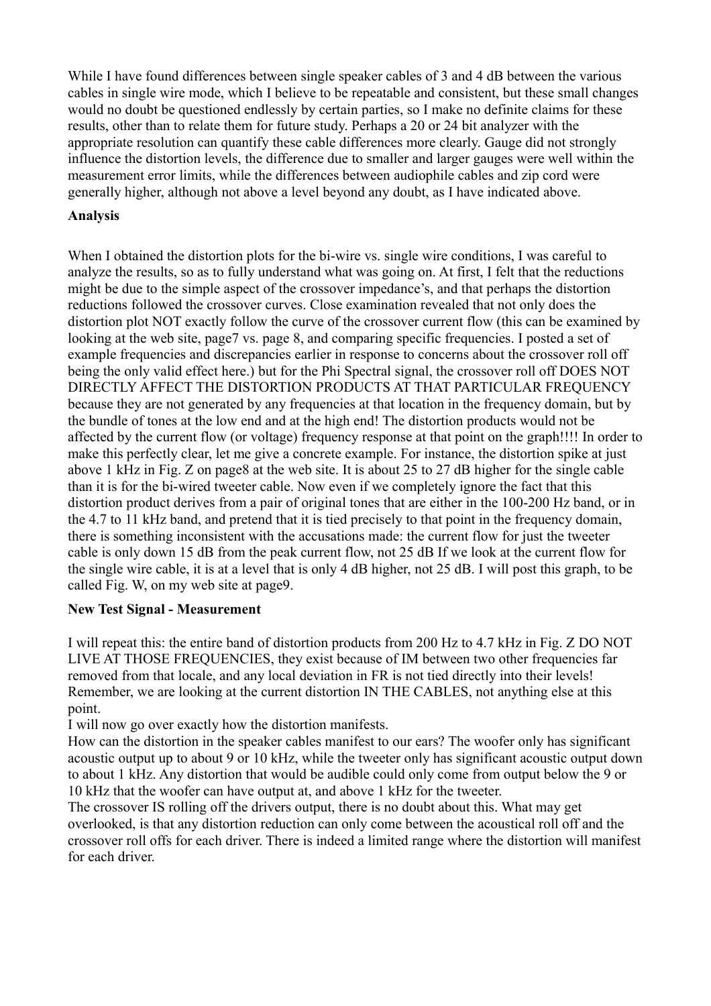While I have found differences between single speaker cables of 3 and 4 dB between the various cables in single wire mode, which I believe to be repeatable and consistent, but these small changes would no doubt be questioned endlessly by certain parties, so I make no definite claims for these results, other than to relate them for future study. Perhaps a 20 or 24 bit analyzer with the appropriate resolution can quantify these cable differences more clearly. Gauge did not strongly influence the distortion levels, the difference due to smaller and larger gauges were well within the measurement error limits, while the differences between audiophile cables and zip cord were generally higher, although not above a level beyond any doubt, as I have indicated above.

## **Analysis**

When I obtained the distortion plots for the bi-wire vs. single wire conditions, I was careful to analyze the results, so as to fully understand what was going on. At first, I felt that the reductions might be due to the simple aspect of the crossover impedance's, and that perhaps the distortion reductions followed the crossover curves. Close examination revealed that not only does the distortion plot NOT exactly follow the curve of the crossover current flow (this can be examined by looking at the web site, page7 vs. page 8, and comparing specific frequencies. I posted a set of example frequencies and discrepancies earlier in response to concerns about the crossover roll off being the only valid effect here.) but for the Phi Spectral signal, the crossover roll off DOES NOT DIRECTLY AFFECT THE DISTORTION PRODUCTS AT THAT PARTICULAR FREQUENCY because they are not generated by any frequencies at that location in the frequency domain, but by the bundle of tones at the low end and at the high end! The distortion products would not be affected by the current flow (or voltage) frequency response at that point on the graph!!!! In order to make this perfectly clear, let me give a concrete example. For instance, the distortion spike at just above 1 kHz in Fig. Z on page8 at the web site. It is about 25 to 27 dB higher for the single cable than it is for the bi-wired tweeter cable. Now even if we completely ignore the fact that this distortion product derives from a pair of original tones that are either in the 100-200 Hz band, or in the 4.7 to 11 kHz band, and pretend that it is tied precisely to that point in the frequency domain, there is something inconsistent with the accusations made: the current flow for just the tweeter cable is only down 15 dB from the peak current flow, not 25 dB If we look at the current flow for the single wire cable, it is at a level that is only 4 dB higher, not 25 dB. I will post this graph, to be called Fig. W, on my web site at page9.

### **New Test Signal - Measurement**

I will repeat this: the entire band of distortion products from 200 Hz to 4.7 kHz in Fig. Z DO NOT LIVE AT THOSE FREQUENCIES, they exist because of IM between two other frequencies far removed from that locale, and any local deviation in FR is not tied directly into their levels! Remember, we are looking at the current distortion IN THE CABLES, not anything else at this point.

I will now go over exactly how the distortion manifests.

How can the distortion in the speaker cables manifest to our ears? The woofer only has significant acoustic output up to about 9 or 10 kHz, while the tweeter only has significant acoustic output down to about 1 kHz. Any distortion that would be audible could only come from output below the 9 or 10 kHz that the woofer can have output at, and above 1 kHz for the tweeter.

The crossover IS rolling off the drivers output, there is no doubt about this. What may get overlooked, is that any distortion reduction can only come between the acoustical roll off and the crossover roll offs for each driver. There is indeed a limited range where the distortion will manifest for each driver.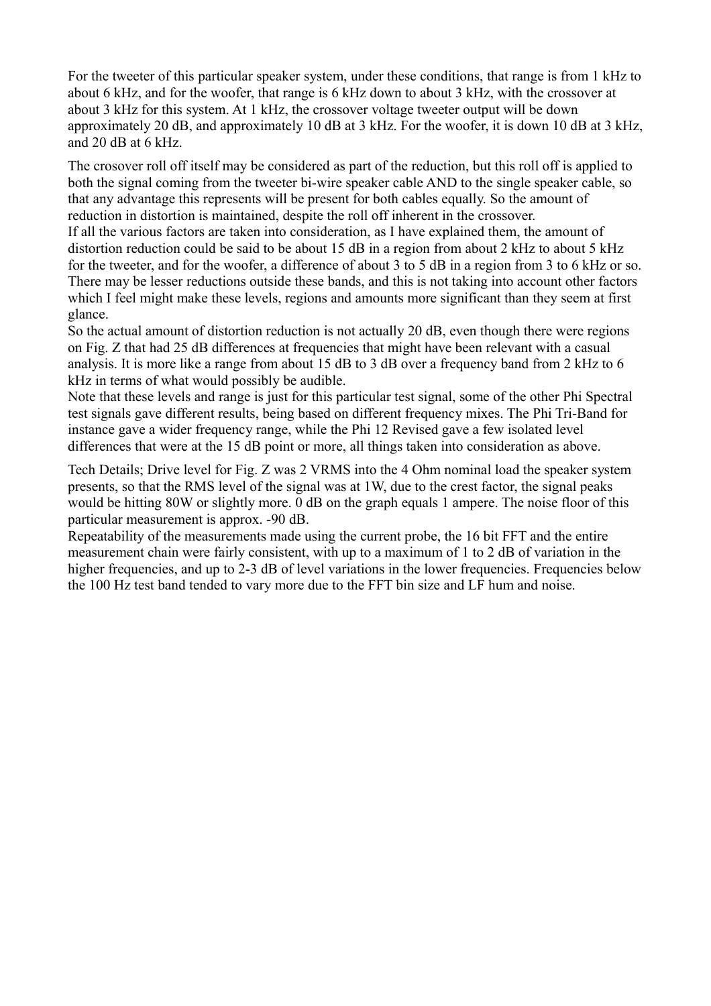For the tweeter of this particular speaker system, under these conditions, that range is from 1 kHz to about 6 kHz, and for the woofer, that range is 6 kHz down to about 3 kHz, with the crossover at about 3 kHz for this system. At 1 kHz, the crossover voltage tweeter output will be down approximately 20 dB, and approximately 10 dB at 3 kHz. For the woofer, it is down 10 dB at 3 kHz, and 20 dB at 6 kHz.

The crosover roll off itself may be considered as part of the reduction, but this roll off is applied to both the signal coming from the tweeter bi-wire speaker cable AND to the single speaker cable, so that any advantage this represents will be present for both cables equally. So the amount of reduction in distortion is maintained, despite the roll off inherent in the crossover.

If all the various factors are taken into consideration, as I have explained them, the amount of distortion reduction could be said to be about 15 dB in a region from about 2 kHz to about 5 kHz for the tweeter, and for the woofer, a difference of about 3 to 5 dB in a region from 3 to 6 kHz or so. There may be lesser reductions outside these bands, and this is not taking into account other factors which I feel might make these levels, regions and amounts more significant than they seem at first glance.

So the actual amount of distortion reduction is not actually 20 dB, even though there were regions on Fig. Z that had 25 dB differences at frequencies that might have been relevant with a casual analysis. It is more like a range from about 15 dB to 3 dB over a frequency band from 2 kHz to 6 kHz in terms of what would possibly be audible.

Note that these levels and range is just for this particular test signal, some of the other Phi Spectral test signals gave different results, being based on different frequency mixes. The Phi Tri-Band for instance gave a wider frequency range, while the Phi 12 Revised gave a few isolated level differences that were at the 15 dB point or more, all things taken into consideration as above.

Tech Details; Drive level for Fig. Z was 2 VRMS into the 4 Ohm nominal load the speaker system presents, so that the RMS level of the signal was at 1W, due to the crest factor, the signal peaks would be hitting 80W or slightly more. 0 dB on the graph equals 1 ampere. The noise floor of this particular measurement is approx. -90 dB.

Repeatability of the measurements made using the current probe, the 16 bit FFT and the entire measurement chain were fairly consistent, with up to a maximum of 1 to 2 dB of variation in the higher frequencies, and up to 2-3 dB of level variations in the lower frequencies. Frequencies below the 100 Hz test band tended to vary more due to the FFT bin size and LF hum and noise.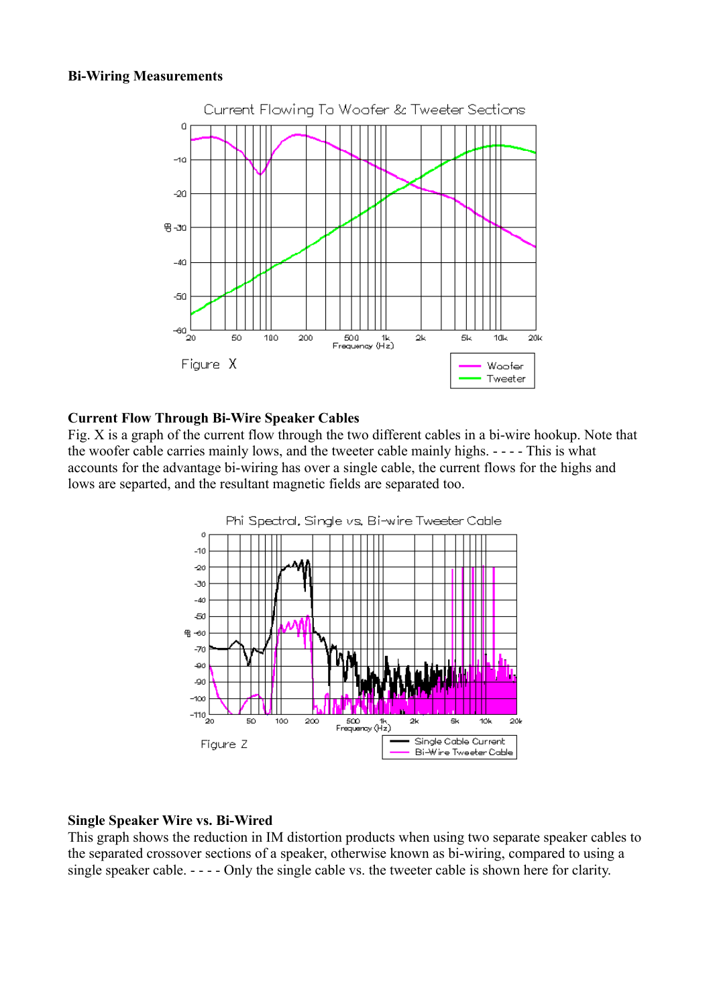#### **Bi-Wiring Measurements**



#### **Current Flow Through Bi-Wire Speaker Cables**

Fig. X is a graph of the current flow through the two different cables in a bi-wire hookup. Note that the woofer cable carries mainly lows, and the tweeter cable mainly highs. - - - - This is what accounts for the advantage bi-wiring has over a single cable, the current flows for the highs and lows are separted, and the resultant magnetic fields are separated too.



### **Single Speaker Wire vs. Bi-Wired**

This graph shows the reduction in IM distortion products when using two separate speaker cables to the separated crossover sections of a speaker, otherwise known as bi-wiring, compared to using a single speaker cable. - - - - Only the single cable vs. the tweeter cable is shown here for clarity.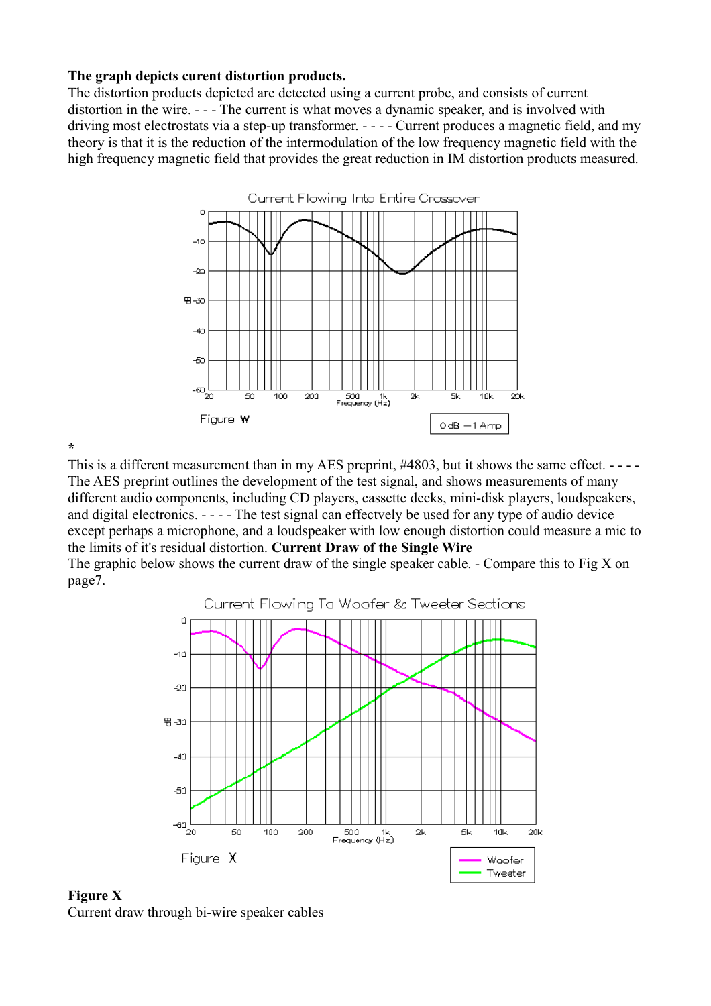#### **The graph depicts curent distortion products.**

The distortion products depicted are detected using a current probe, and consists of current distortion in the wire. - - - The current is what moves a dynamic speaker, and is involved with driving most electrostats via a step-up transformer. - - - - Current produces a magnetic field, and my theory is that it is the reduction of the intermodulation of the low frequency magnetic field with the high frequency magnetic field that provides the great reduction in IM distortion products measured.



**\***

This is a different measurement than in my AES preprint, #4803, but it shows the same effect. ----The AES preprint outlines the development of the test signal, and shows measurements of many different audio components, including CD players, cassette decks, mini-disk players, loudspeakers, and digital electronics. - - - - The test signal can effectvely be used for any type of audio device except perhaps a microphone, and a loudspeaker with low enough distortion could measure a mic to the limits of it's residual distortion. **Current Draw of the Single Wire**

The graphic below shows the current draw of the single speaker cable. - Compare this to Fig X on page7.



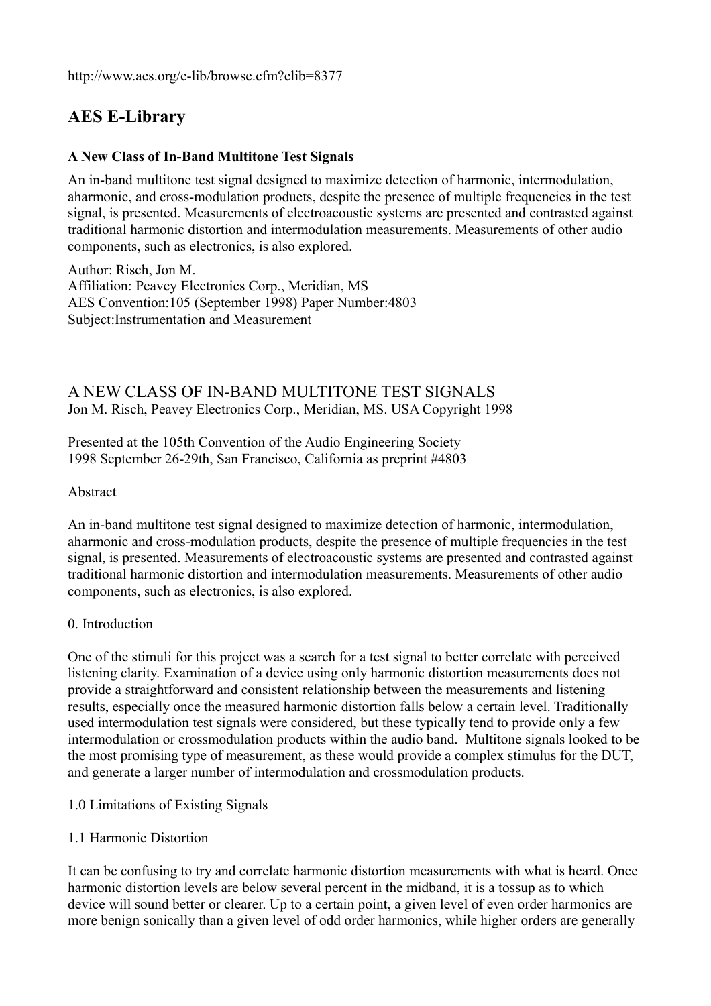http://www.aes.org/e-lib/browse.cfm?elib=8377

# **AES E-Library**

## **A New Class of In-Band Multitone Test Signals**

An in-band multitone test signal designed to maximize detection of harmonic, intermodulation, aharmonic, and cross-modulation products, despite the presence of multiple frequencies in the test signal, is presented. Measurements of electroacoustic systems are presented and contrasted against traditional harmonic distortion and intermodulation measurements. Measurements of other audio components, such as electronics, is also explored.

Author: Risch, Jon M. Affiliation: Peavey Electronics Corp., Meridian, MS AES Convention:105 (September 1998) Paper Number:4803 Subject:Instrumentation and Measurement

## A NEW CLASS OF IN-BAND MULTITONE TEST SIGNALS Jon M. Risch, Peavey Electronics Corp., Meridian, MS. USA Copyright 1998

Presented at the 105th Convention of the Audio Engineering Society 1998 September 26-29th, San Francisco, California as preprint #4803

### Abstract

An in-band multitone test signal designed to maximize detection of harmonic, intermodulation, aharmonic and cross-modulation products, despite the presence of multiple frequencies in the test signal, is presented. Measurements of electroacoustic systems are presented and contrasted against traditional harmonic distortion and intermodulation measurements. Measurements of other audio components, such as electronics, is also explored.

#### 0. Introduction

One of the stimuli for this project was a search for a test signal to better correlate with perceived listening clarity. Examination of a device using only harmonic distortion measurements does not provide a straightforward and consistent relationship between the measurements and listening results, especially once the measured harmonic distortion falls below a certain level. Traditionally used intermodulation test signals were considered, but these typically tend to provide only a few intermodulation or crossmodulation products within the audio band. Multitone signals looked to be the most promising type of measurement, as these would provide a complex stimulus for the DUT, and generate a larger number of intermodulation and crossmodulation products.

- 1.0 Limitations of Existing Signals
- 1.1 Harmonic Distortion

It can be confusing to try and correlate harmonic distortion measurements with what is heard. Once harmonic distortion levels are below several percent in the midband, it is a tossup as to which device will sound better or clearer. Up to a certain point, a given level of even order harmonics are more benign sonically than a given level of odd order harmonics, while higher orders are generally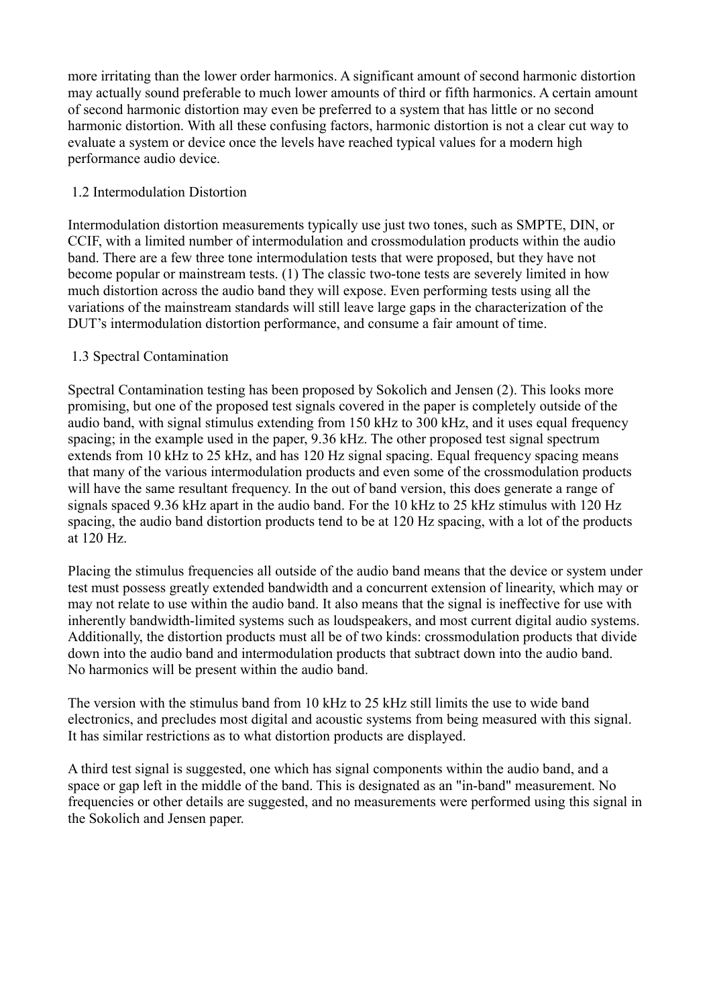more irritating than the lower order harmonics. A significant amount of second harmonic distortion may actually sound preferable to much lower amounts of third or fifth harmonics. A certain amount of second harmonic distortion may even be preferred to a system that has little or no second harmonic distortion. With all these confusing factors, harmonic distortion is not a clear cut way to evaluate a system or device once the levels have reached typical values for a modern high performance audio device.

## 1.2 Intermodulation Distortion

Intermodulation distortion measurements typically use just two tones, such as SMPTE, DIN, or CCIF, with a limited number of intermodulation and crossmodulation products within the audio band. There are a few three tone intermodulation tests that were proposed, but they have not become popular or mainstream tests. (1) The classic two-tone tests are severely limited in how much distortion across the audio band they will expose. Even performing tests using all the variations of the mainstream standards will still leave large gaps in the characterization of the DUT's intermodulation distortion performance, and consume a fair amount of time.

## 1.3 Spectral Contamination

Spectral Contamination testing has been proposed by Sokolich and Jensen (2). This looks more promising, but one of the proposed test signals covered in the paper is completely outside of the audio band, with signal stimulus extending from 150 kHz to 300 kHz, and it uses equal frequency spacing; in the example used in the paper, 9.36 kHz. The other proposed test signal spectrum extends from 10 kHz to 25 kHz, and has 120 Hz signal spacing. Equal frequency spacing means that many of the various intermodulation products and even some of the crossmodulation products will have the same resultant frequency. In the out of band version, this does generate a range of signals spaced 9.36 kHz apart in the audio band. For the 10 kHz to 25 kHz stimulus with 120 Hz spacing, the audio band distortion products tend to be at 120 Hz spacing, with a lot of the products at 120 Hz.

Placing the stimulus frequencies all outside of the audio band means that the device or system under test must possess greatly extended bandwidth and a concurrent extension of linearity, which may or may not relate to use within the audio band. It also means that the signal is ineffective for use with inherently bandwidth-limited systems such as loudspeakers, and most current digital audio systems. Additionally, the distortion products must all be of two kinds: crossmodulation products that divide down into the audio band and intermodulation products that subtract down into the audio band. No harmonics will be present within the audio band.

The version with the stimulus band from 10 kHz to 25 kHz still limits the use to wide band electronics, and precludes most digital and acoustic systems from being measured with this signal. It has similar restrictions as to what distortion products are displayed.

A third test signal is suggested, one which has signal components within the audio band, and a space or gap left in the middle of the band. This is designated as an "in-band" measurement. No frequencies or other details are suggested, and no measurements were performed using this signal in the Sokolich and Jensen paper.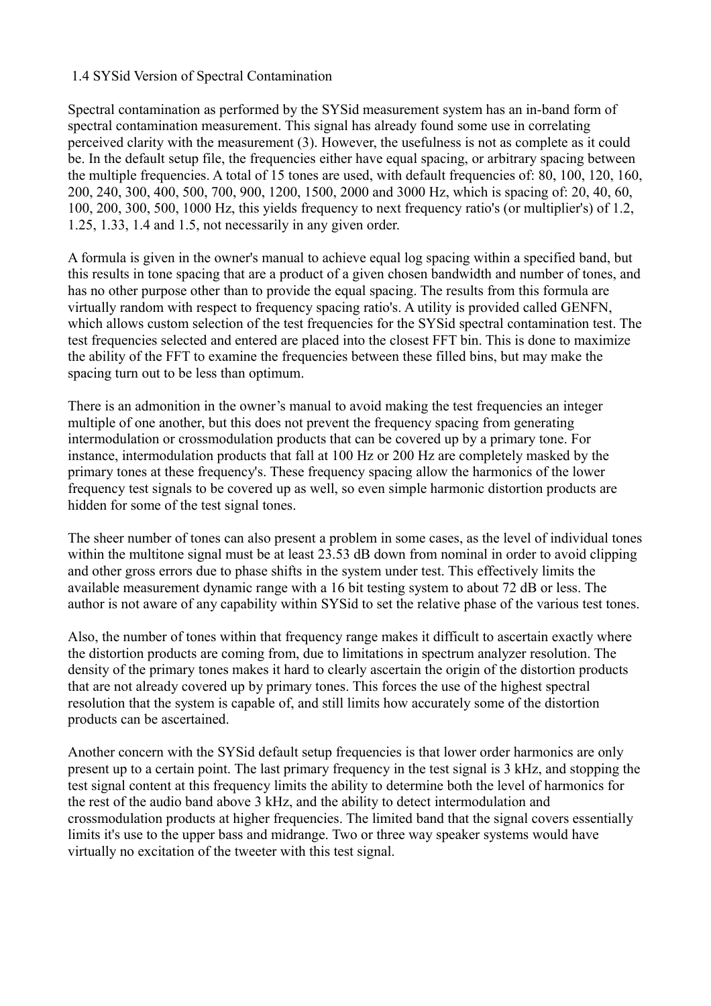#### 1.4 SYSid Version of Spectral Contamination

Spectral contamination as performed by the SYSid measurement system has an in-band form of spectral contamination measurement. This signal has already found some use in correlating perceived clarity with the measurement (3). However, the usefulness is not as complete as it could be. In the default setup file, the frequencies either have equal spacing, or arbitrary spacing between the multiple frequencies. A total of 15 tones are used, with default frequencies of: 80, 100, 120, 160, 200, 240, 300, 400, 500, 700, 900, 1200, 1500, 2000 and 3000 Hz, which is spacing of: 20, 40, 60, 100, 200, 300, 500, 1000 Hz, this yields frequency to next frequency ratio's (or multiplier's) of 1.2, 1.25, 1.33, 1.4 and 1.5, not necessarily in any given order.

A formula is given in the owner's manual to achieve equal log spacing within a specified band, but this results in tone spacing that are a product of a given chosen bandwidth and number of tones, and has no other purpose other than to provide the equal spacing. The results from this formula are virtually random with respect to frequency spacing ratio's. A utility is provided called GENFN, which allows custom selection of the test frequencies for the SYSid spectral contamination test. The test frequencies selected and entered are placed into the closest FFT bin. This is done to maximize the ability of the FFT to examine the frequencies between these filled bins, but may make the spacing turn out to be less than optimum.

There is an admonition in the owner's manual to avoid making the test frequencies an integer multiple of one another, but this does not prevent the frequency spacing from generating intermodulation or crossmodulation products that can be covered up by a primary tone. For instance, intermodulation products that fall at 100 Hz or 200 Hz are completely masked by the primary tones at these frequency's. These frequency spacing allow the harmonics of the lower frequency test signals to be covered up as well, so even simple harmonic distortion products are hidden for some of the test signal tones.

The sheer number of tones can also present a problem in some cases, as the level of individual tones within the multitone signal must be at least 23.53 dB down from nominal in order to avoid clipping and other gross errors due to phase shifts in the system under test. This effectively limits the available measurement dynamic range with a 16 bit testing system to about 72 dB or less. The author is not aware of any capability within SYSid to set the relative phase of the various test tones.

Also, the number of tones within that frequency range makes it difficult to ascertain exactly where the distortion products are coming from, due to limitations in spectrum analyzer resolution. The density of the primary tones makes it hard to clearly ascertain the origin of the distortion products that are not already covered up by primary tones. This forces the use of the highest spectral resolution that the system is capable of, and still limits how accurately some of the distortion products can be ascertained.

Another concern with the SYSid default setup frequencies is that lower order harmonics are only present up to a certain point. The last primary frequency in the test signal is 3 kHz, and stopping the test signal content at this frequency limits the ability to determine both the level of harmonics for the rest of the audio band above 3 kHz, and the ability to detect intermodulation and crossmodulation products at higher frequencies. The limited band that the signal covers essentially limits it's use to the upper bass and midrange. Two or three way speaker systems would have virtually no excitation of the tweeter with this test signal.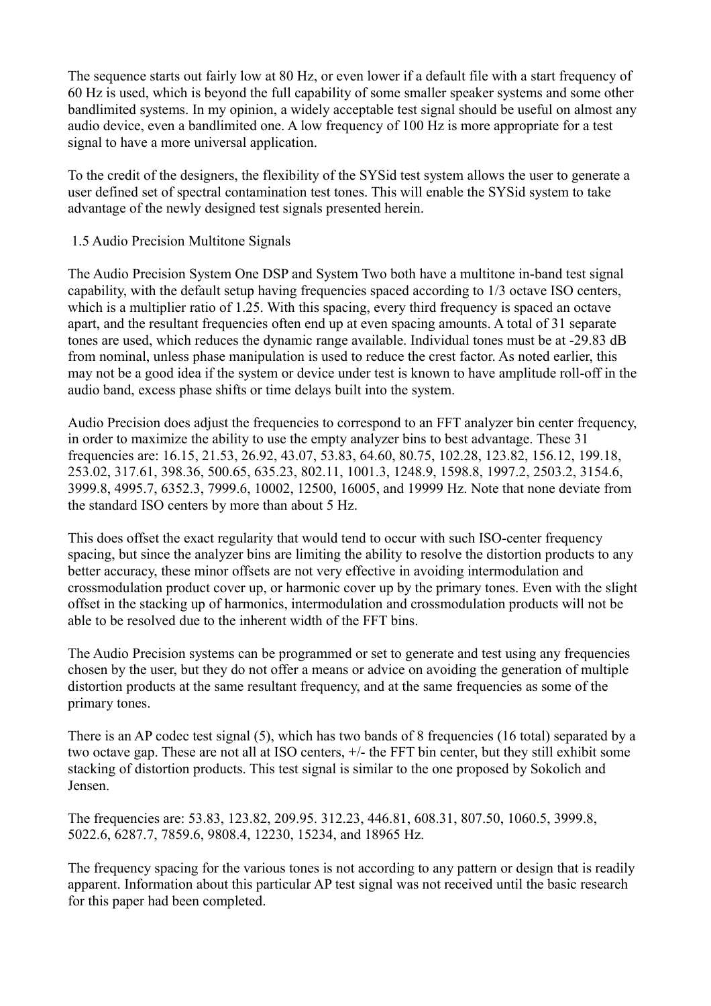The sequence starts out fairly low at 80 Hz, or even lower if a default file with a start frequency of 60 Hz is used, which is beyond the full capability of some smaller speaker systems and some other bandlimited systems. In my opinion, a widely acceptable test signal should be useful on almost any audio device, even a bandlimited one. A low frequency of 100 Hz is more appropriate for a test signal to have a more universal application.

To the credit of the designers, the flexibility of the SYSid test system allows the user to generate a user defined set of spectral contamination test tones. This will enable the SYSid system to take advantage of the newly designed test signals presented herein.

### 1.5 Audio Precision Multitone Signals

The Audio Precision System One DSP and System Two both have a multitone in-band test signal capability, with the default setup having frequencies spaced according to 1/3 octave ISO centers, which is a multiplier ratio of 1.25. With this spacing, every third frequency is spaced an octave apart, and the resultant frequencies often end up at even spacing amounts. A total of 31 separate tones are used, which reduces the dynamic range available. Individual tones must be at -29.83 dB from nominal, unless phase manipulation is used to reduce the crest factor. As noted earlier, this may not be a good idea if the system or device under test is known to have amplitude roll-off in the audio band, excess phase shifts or time delays built into the system.

Audio Precision does adjust the frequencies to correspond to an FFT analyzer bin center frequency, in order to maximize the ability to use the empty analyzer bins to best advantage. These 31 frequencies are: 16.15, 21.53, 26.92, 43.07, 53.83, 64.60, 80.75, 102.28, 123.82, 156.12, 199.18, 253.02, 317.61, 398.36, 500.65, 635.23, 802.11, 1001.3, 1248.9, 1598.8, 1997.2, 2503.2, 3154.6, 3999.8, 4995.7, 6352.3, 7999.6, 10002, 12500, 16005, and 19999 Hz. Note that none deviate from the standard ISO centers by more than about 5 Hz.

This does offset the exact regularity that would tend to occur with such ISO-center frequency spacing, but since the analyzer bins are limiting the ability to resolve the distortion products to any better accuracy, these minor offsets are not very effective in avoiding intermodulation and crossmodulation product cover up, or harmonic cover up by the primary tones. Even with the slight offset in the stacking up of harmonics, intermodulation and crossmodulation products will not be able to be resolved due to the inherent width of the FFT bins.

The Audio Precision systems can be programmed or set to generate and test using any frequencies chosen by the user, but they do not offer a means or advice on avoiding the generation of multiple distortion products at the same resultant frequency, and at the same frequencies as some of the primary tones.

There is an AP codec test signal (5), which has two bands of 8 frequencies (16 total) separated by a two octave gap. These are not all at ISO centers, +/- the FFT bin center, but they still exhibit some stacking of distortion products. This test signal is similar to the one proposed by Sokolich and Jensen.

The frequencies are: 53.83, 123.82, 209.95. 312.23, 446.81, 608.31, 807.50, 1060.5, 3999.8, 5022.6, 6287.7, 7859.6, 9808.4, 12230, 15234, and 18965 Hz.

The frequency spacing for the various tones is not according to any pattern or design that is readily apparent. Information about this particular AP test signal was not received until the basic research for this paper had been completed.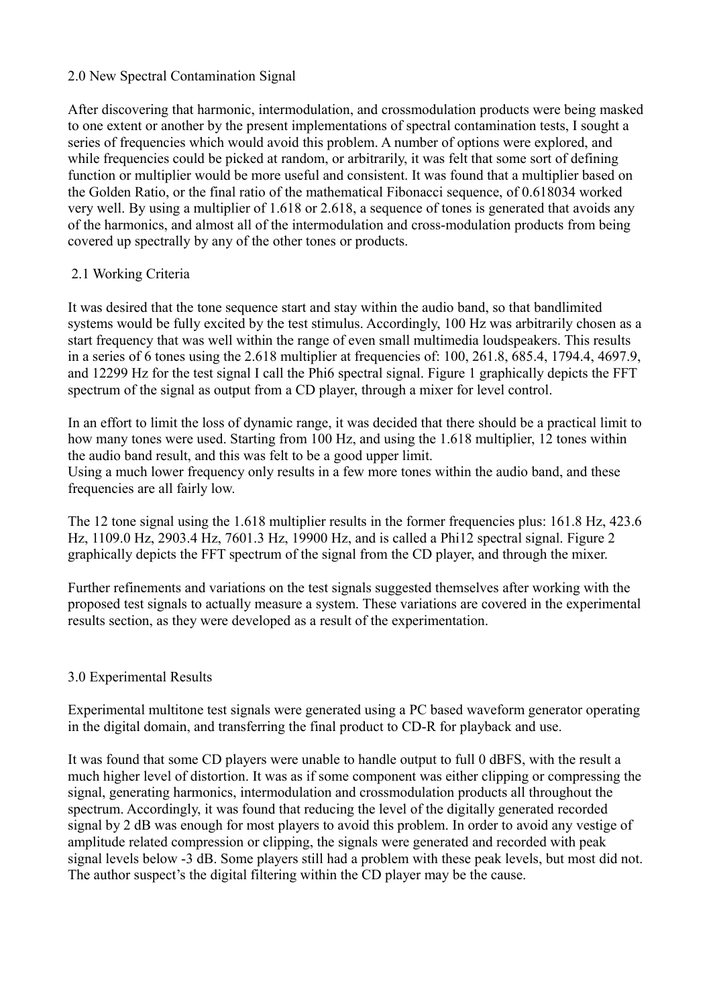### 2.0 New Spectral Contamination Signal

After discovering that harmonic, intermodulation, and crossmodulation products were being masked to one extent or another by the present implementations of spectral contamination tests, I sought a series of frequencies which would avoid this problem. A number of options were explored, and while frequencies could be picked at random, or arbitrarily, it was felt that some sort of defining function or multiplier would be more useful and consistent. It was found that a multiplier based on the Golden Ratio, or the final ratio of the mathematical Fibonacci sequence, of 0.618034 worked very well. By using a multiplier of 1.618 or 2.618, a sequence of tones is generated that avoids any of the harmonics, and almost all of the intermodulation and cross-modulation products from being covered up spectrally by any of the other tones or products.

### 2.1 Working Criteria

It was desired that the tone sequence start and stay within the audio band, so that bandlimited systems would be fully excited by the test stimulus. Accordingly, 100 Hz was arbitrarily chosen as a start frequency that was well within the range of even small multimedia loudspeakers. This results in a series of 6 tones using the 2.618 multiplier at frequencies of: 100, 261.8, 685.4, 1794.4, 4697.9, and 12299 Hz for the test signal I call the Phi6 spectral signal. Figure 1 graphically depicts the FFT spectrum of the signal as output from a CD player, through a mixer for level control.

In an effort to limit the loss of dynamic range, it was decided that there should be a practical limit to how many tones were used. Starting from 100 Hz, and using the 1.618 multiplier, 12 tones within the audio band result, and this was felt to be a good upper limit. Using a much lower frequency only results in a few more tones within the audio band, and these frequencies are all fairly low.

The 12 tone signal using the 1.618 multiplier results in the former frequencies plus: 161.8 Hz, 423.6 Hz, 1109.0 Hz, 2903.4 Hz, 7601.3 Hz, 19900 Hz, and is called a Phi12 spectral signal. Figure 2 graphically depicts the FFT spectrum of the signal from the CD player, and through the mixer.

Further refinements and variations on the test signals suggested themselves after working with the proposed test signals to actually measure a system. These variations are covered in the experimental results section, as they were developed as a result of the experimentation.

### 3.0 Experimental Results

Experimental multitone test signals were generated using a PC based waveform generator operating in the digital domain, and transferring the final product to CD-R for playback and use.

It was found that some CD players were unable to handle output to full 0 dBFS, with the result a much higher level of distortion. It was as if some component was either clipping or compressing the signal, generating harmonics, intermodulation and crossmodulation products all throughout the spectrum. Accordingly, it was found that reducing the level of the digitally generated recorded signal by 2 dB was enough for most players to avoid this problem. In order to avoid any vestige of amplitude related compression or clipping, the signals were generated and recorded with peak signal levels below -3 dB. Some players still had a problem with these peak levels, but most did not. The author suspect's the digital filtering within the CD player may be the cause.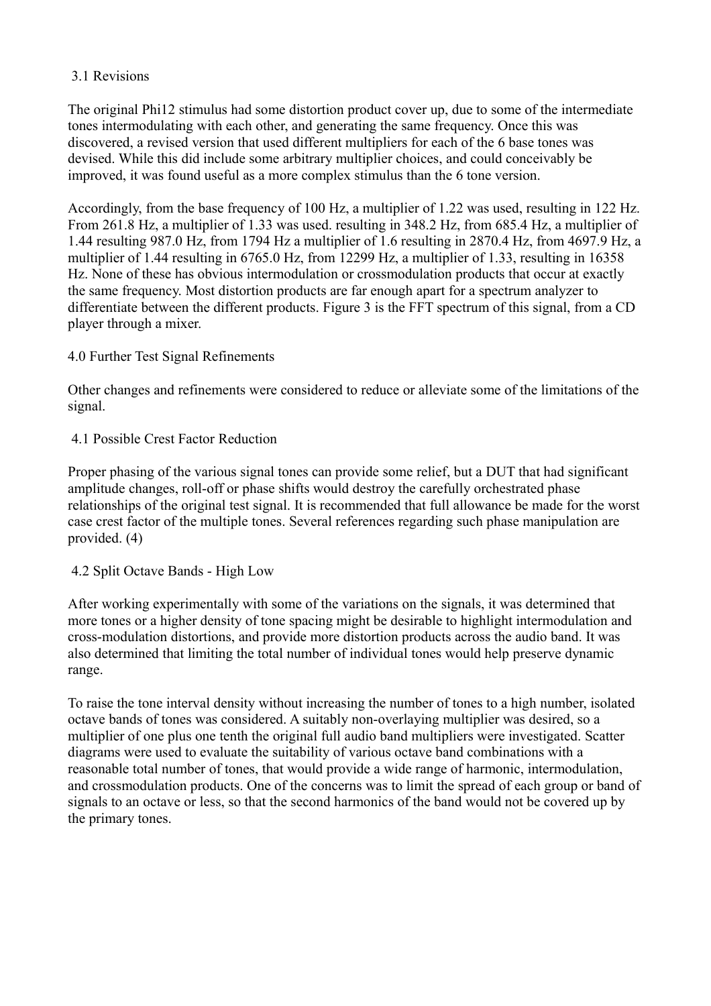## 3.1 Revisions

The original Phi12 stimulus had some distortion product cover up, due to some of the intermediate tones intermodulating with each other, and generating the same frequency. Once this was discovered, a revised version that used different multipliers for each of the 6 base tones was devised. While this did include some arbitrary multiplier choices, and could conceivably be improved, it was found useful as a more complex stimulus than the 6 tone version.

Accordingly, from the base frequency of 100 Hz, a multiplier of 1.22 was used, resulting in 122 Hz. From 261.8 Hz, a multiplier of 1.33 was used. resulting in 348.2 Hz, from 685.4 Hz, a multiplier of 1.44 resulting 987.0 Hz, from 1794 Hz a multiplier of 1.6 resulting in 2870.4 Hz, from 4697.9 Hz, a multiplier of 1.44 resulting in 6765.0 Hz, from 12299 Hz, a multiplier of 1.33, resulting in 16358 Hz. None of these has obvious intermodulation or crossmodulation products that occur at exactly the same frequency. Most distortion products are far enough apart for a spectrum analyzer to differentiate between the different products. Figure 3 is the FFT spectrum of this signal, from a CD player through a mixer.

## 4.0 Further Test Signal Refinements

Other changes and refinements were considered to reduce or alleviate some of the limitations of the signal.

## 4.1 Possible Crest Factor Reduction

Proper phasing of the various signal tones can provide some relief, but a DUT that had significant amplitude changes, roll-off or phase shifts would destroy the carefully orchestrated phase relationships of the original test signal. It is recommended that full allowance be made for the worst case crest factor of the multiple tones. Several references regarding such phase manipulation are provided. (4)

### 4.2 Split Octave Bands - High Low

After working experimentally with some of the variations on the signals, it was determined that more tones or a higher density of tone spacing might be desirable to highlight intermodulation and cross-modulation distortions, and provide more distortion products across the audio band. It was also determined that limiting the total number of individual tones would help preserve dynamic range.

To raise the tone interval density without increasing the number of tones to a high number, isolated octave bands of tones was considered. A suitably non-overlaying multiplier was desired, so a multiplier of one plus one tenth the original full audio band multipliers were investigated. Scatter diagrams were used to evaluate the suitability of various octave band combinations with a reasonable total number of tones, that would provide a wide range of harmonic, intermodulation, and crossmodulation products. One of the concerns was to limit the spread of each group or band of signals to an octave or less, so that the second harmonics of the band would not be covered up by the primary tones.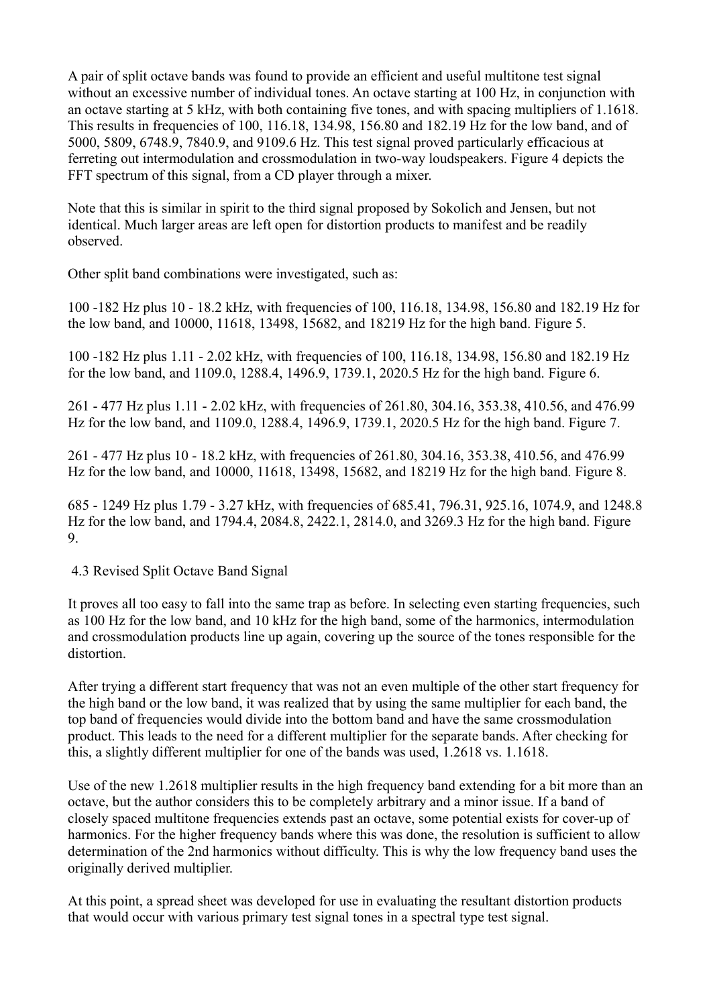A pair of split octave bands was found to provide an efficient and useful multitone test signal without an excessive number of individual tones. An octave starting at 100 Hz, in conjunction with an octave starting at 5 kHz, with both containing five tones, and with spacing multipliers of 1.1618. This results in frequencies of 100, 116.18, 134.98, 156.80 and 182.19 Hz for the low band, and of 5000, 5809, 6748.9, 7840.9, and 9109.6 Hz. This test signal proved particularly efficacious at ferreting out intermodulation and crossmodulation in two-way loudspeakers. Figure 4 depicts the FFT spectrum of this signal, from a CD player through a mixer.

Note that this is similar in spirit to the third signal proposed by Sokolich and Jensen, but not identical. Much larger areas are left open for distortion products to manifest and be readily observed.

Other split band combinations were investigated, such as:

100 -182 Hz plus 10 - 18.2 kHz, with frequencies of 100, 116.18, 134.98, 156.80 and 182.19 Hz for the low band, and 10000, 11618, 13498, 15682, and 18219 Hz for the high band. Figure 5.

100 -182 Hz plus 1.11 - 2.02 kHz, with frequencies of 100, 116.18, 134.98, 156.80 and 182.19 Hz for the low band, and 1109.0, 1288.4, 1496.9, 1739.1, 2020.5 Hz for the high band. Figure 6.

261 - 477 Hz plus 1.11 - 2.02 kHz, with frequencies of 261.80, 304.16, 353.38, 410.56, and 476.99 Hz for the low band, and 1109.0, 1288.4, 1496.9, 1739.1, 2020.5 Hz for the high band. Figure 7.

261 - 477 Hz plus 10 - 18.2 kHz, with frequencies of 261.80, 304.16, 353.38, 410.56, and 476.99 Hz for the low band, and 10000, 11618, 13498, 15682, and 18219 Hz for the high band. Figure 8.

685 - 1249 Hz plus 1.79 - 3.27 kHz, with frequencies of 685.41, 796.31, 925.16, 1074.9, and 1248.8 Hz for the low band, and 1794.4, 2084.8, 2422.1, 2814.0, and 3269.3 Hz for the high band. Figure 9.

4.3 Revised Split Octave Band Signal

It proves all too easy to fall into the same trap as before. In selecting even starting frequencies, such as 100 Hz for the low band, and 10 kHz for the high band, some of the harmonics, intermodulation and crossmodulation products line up again, covering up the source of the tones responsible for the distortion.

After trying a different start frequency that was not an even multiple of the other start frequency for the high band or the low band, it was realized that by using the same multiplier for each band, the top band of frequencies would divide into the bottom band and have the same crossmodulation product. This leads to the need for a different multiplier for the separate bands. After checking for this, a slightly different multiplier for one of the bands was used, 1.2618 vs. 1.1618.

Use of the new 1.2618 multiplier results in the high frequency band extending for a bit more than an octave, but the author considers this to be completely arbitrary and a minor issue. If a band of closely spaced multitone frequencies extends past an octave, some potential exists for cover-up of harmonics. For the higher frequency bands where this was done, the resolution is sufficient to allow determination of the 2nd harmonics without difficulty. This is why the low frequency band uses the originally derived multiplier.

At this point, a spread sheet was developed for use in evaluating the resultant distortion products that would occur with various primary test signal tones in a spectral type test signal.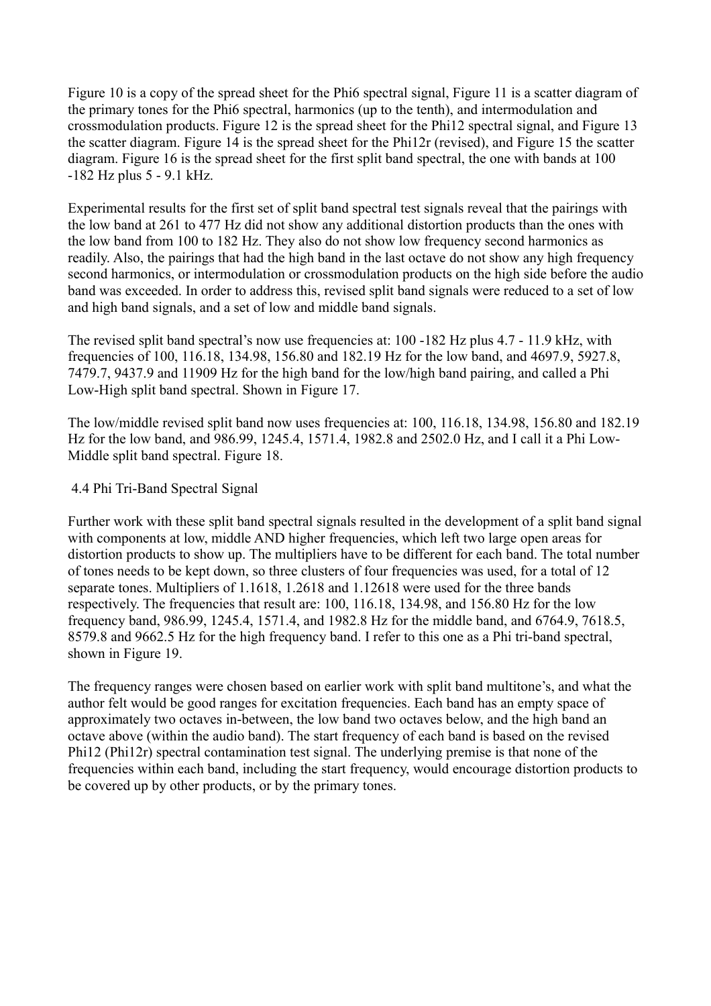Figure 10 is a copy of the spread sheet for the Phi6 spectral signal, Figure 11 is a scatter diagram of the primary tones for the Phi6 spectral, harmonics (up to the tenth), and intermodulation and crossmodulation products. Figure 12 is the spread sheet for the Phi12 spectral signal, and Figure 13 the scatter diagram. Figure 14 is the spread sheet for the Phi12r (revised), and Figure 15 the scatter diagram. Figure 16 is the spread sheet for the first split band spectral, the one with bands at 100 -182 Hz plus 5 - 9.1 kHz.

Experimental results for the first set of split band spectral test signals reveal that the pairings with the low band at 261 to 477 Hz did not show any additional distortion products than the ones with the low band from 100 to 182 Hz. They also do not show low frequency second harmonics as readily. Also, the pairings that had the high band in the last octave do not show any high frequency second harmonics, or intermodulation or crossmodulation products on the high side before the audio band was exceeded. In order to address this, revised split band signals were reduced to a set of low and high band signals, and a set of low and middle band signals.

The revised split band spectral's now use frequencies at: 100 -182 Hz plus 4.7 - 11.9 kHz, with frequencies of 100, 116.18, 134.98, 156.80 and 182.19 Hz for the low band, and 4697.9, 5927.8, 7479.7, 9437.9 and 11909 Hz for the high band for the low/high band pairing, and called a Phi Low-High split band spectral. Shown in Figure 17.

The low/middle revised split band now uses frequencies at: 100, 116.18, 134.98, 156.80 and 182.19 Hz for the low band, and 986.99, 1245.4, 1571.4, 1982.8 and 2502.0 Hz, and I call it a Phi Low-Middle split band spectral. Figure 18.

#### 4.4 Phi Tri-Band Spectral Signal

Further work with these split band spectral signals resulted in the development of a split band signal with components at low, middle AND higher frequencies, which left two large open areas for distortion products to show up. The multipliers have to be different for each band. The total number of tones needs to be kept down, so three clusters of four frequencies was used, for a total of 12 separate tones. Multipliers of 1.1618, 1.2618 and 1.12618 were used for the three bands respectively. The frequencies that result are: 100, 116.18, 134.98, and 156.80 Hz for the low frequency band, 986.99, 1245.4, 1571.4, and 1982.8 Hz for the middle band, and 6764.9, 7618.5, 8579.8 and 9662.5 Hz for the high frequency band. I refer to this one as a Phi tri-band spectral, shown in Figure 19.

The frequency ranges were chosen based on earlier work with split band multitone's, and what the author felt would be good ranges for excitation frequencies. Each band has an empty space of approximately two octaves in-between, the low band two octaves below, and the high band an octave above (within the audio band). The start frequency of each band is based on the revised Phi12 (Phi12r) spectral contamination test signal. The underlying premise is that none of the frequencies within each band, including the start frequency, would encourage distortion products to be covered up by other products, or by the primary tones.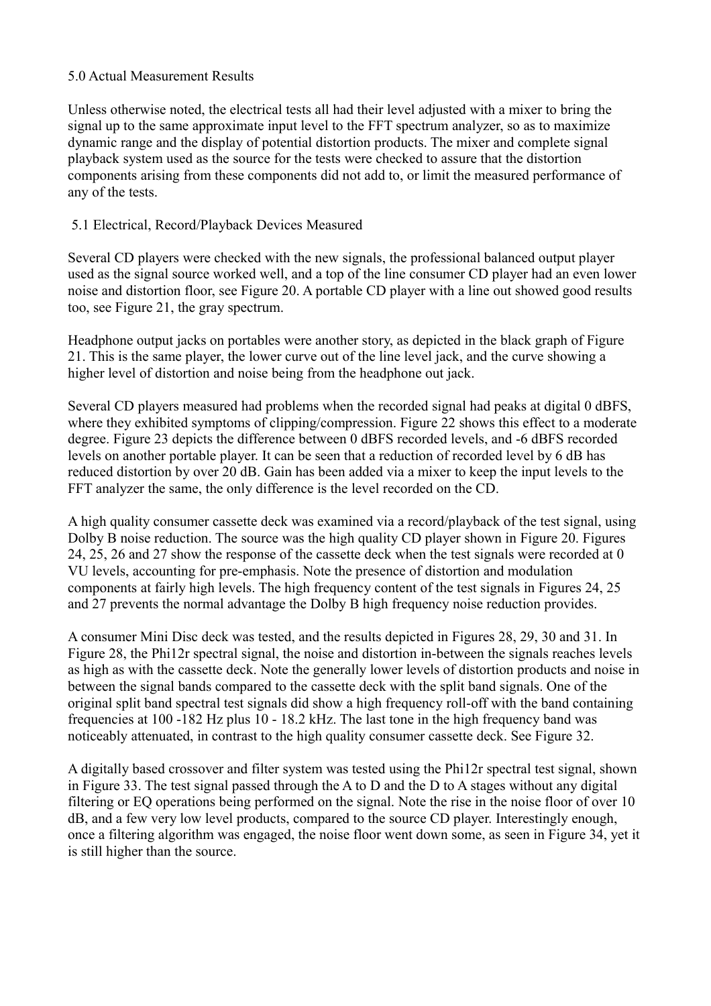#### 5.0 Actual Measurement Results

Unless otherwise noted, the electrical tests all had their level adjusted with a mixer to bring the signal up to the same approximate input level to the FFT spectrum analyzer, so as to maximize dynamic range and the display of potential distortion products. The mixer and complete signal playback system used as the source for the tests were checked to assure that the distortion components arising from these components did not add to, or limit the measured performance of any of the tests.

### 5.1 Electrical, Record/Playback Devices Measured

Several CD players were checked with the new signals, the professional balanced output player used as the signal source worked well, and a top of the line consumer CD player had an even lower noise and distortion floor, see Figure 20. A portable CD player with a line out showed good results too, see Figure 21, the gray spectrum.

Headphone output jacks on portables were another story, as depicted in the black graph of Figure 21. This is the same player, the lower curve out of the line level jack, and the curve showing a higher level of distortion and noise being from the headphone out jack.

Several CD players measured had problems when the recorded signal had peaks at digital 0 dBFS, where they exhibited symptoms of clipping/compression. Figure 22 shows this effect to a moderate degree. Figure 23 depicts the difference between 0 dBFS recorded levels, and -6 dBFS recorded levels on another portable player. It can be seen that a reduction of recorded level by 6 dB has reduced distortion by over 20 dB. Gain has been added via a mixer to keep the input levels to the FFT analyzer the same, the only difference is the level recorded on the CD.

A high quality consumer cassette deck was examined via a record/playback of the test signal, using Dolby B noise reduction. The source was the high quality CD player shown in Figure 20. Figures 24, 25, 26 and 27 show the response of the cassette deck when the test signals were recorded at 0 VU levels, accounting for pre-emphasis. Note the presence of distortion and modulation components at fairly high levels. The high frequency content of the test signals in Figures 24, 25 and 27 prevents the normal advantage the Dolby B high frequency noise reduction provides.

A consumer Mini Disc deck was tested, and the results depicted in Figures 28, 29, 30 and 31. In Figure 28, the Phi12r spectral signal, the noise and distortion in-between the signals reaches levels as high as with the cassette deck. Note the generally lower levels of distortion products and noise in between the signal bands compared to the cassette deck with the split band signals. One of the original split band spectral test signals did show a high frequency roll-off with the band containing frequencies at 100 -182 Hz plus 10 - 18.2 kHz. The last tone in the high frequency band was noticeably attenuated, in contrast to the high quality consumer cassette deck. See Figure 32.

A digitally based crossover and filter system was tested using the Phi12r spectral test signal, shown in Figure 33. The test signal passed through the A to D and the D to A stages without any digital filtering or EQ operations being performed on the signal. Note the rise in the noise floor of over 10 dB, and a few very low level products, compared to the source CD player. Interestingly enough, once a filtering algorithm was engaged, the noise floor went down some, as seen in Figure 34, yet it is still higher than the source.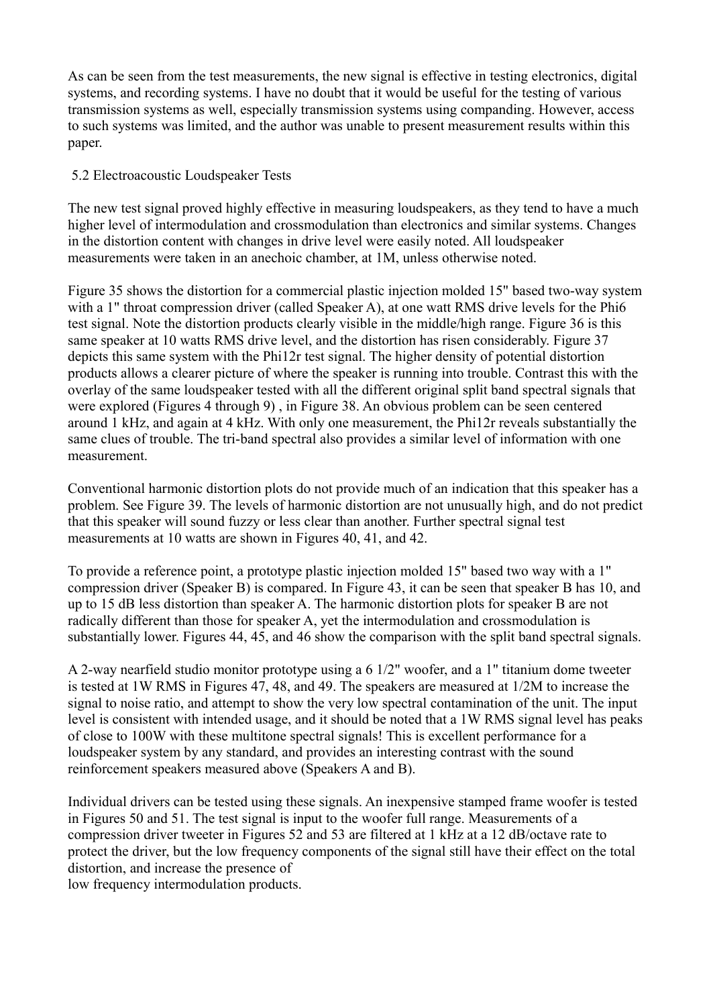As can be seen from the test measurements, the new signal is effective in testing electronics, digital systems, and recording systems. I have no doubt that it would be useful for the testing of various transmission systems as well, especially transmission systems using companding. However, access to such systems was limited, and the author was unable to present measurement results within this paper.

### 5.2 Electroacoustic Loudspeaker Tests

The new test signal proved highly effective in measuring loudspeakers, as they tend to have a much higher level of intermodulation and crossmodulation than electronics and similar systems. Changes in the distortion content with changes in drive level were easily noted. All loudspeaker measurements were taken in an anechoic chamber, at 1M, unless otherwise noted.

Figure 35 shows the distortion for a commercial plastic injection molded 15" based two-way system with a 1" throat compression driver (called Speaker A), at one watt RMS drive levels for the Phi6 test signal. Note the distortion products clearly visible in the middle/high range. Figure 36 is this same speaker at 10 watts RMS drive level, and the distortion has risen considerably. Figure 37 depicts this same system with the Phi12r test signal. The higher density of potential distortion products allows a clearer picture of where the speaker is running into trouble. Contrast this with the overlay of the same loudspeaker tested with all the different original split band spectral signals that were explored (Figures 4 through 9) , in Figure 38. An obvious problem can be seen centered around 1 kHz, and again at 4 kHz. With only one measurement, the Phi12r reveals substantially the same clues of trouble. The tri-band spectral also provides a similar level of information with one measurement.

Conventional harmonic distortion plots do not provide much of an indication that this speaker has a problem. See Figure 39. The levels of harmonic distortion are not unusually high, and do not predict that this speaker will sound fuzzy or less clear than another. Further spectral signal test measurements at 10 watts are shown in Figures 40, 41, and 42.

To provide a reference point, a prototype plastic injection molded 15" based two way with a 1" compression driver (Speaker B) is compared. In Figure 43, it can be seen that speaker B has 10, and up to 15 dB less distortion than speaker A. The harmonic distortion plots for speaker B are not radically different than those for speaker A, yet the intermodulation and crossmodulation is substantially lower. Figures 44, 45, and 46 show the comparison with the split band spectral signals.

A 2-way nearfield studio monitor prototype using a 6 1/2" woofer, and a 1" titanium dome tweeter is tested at 1W RMS in Figures 47, 48, and 49. The speakers are measured at 1/2M to increase the signal to noise ratio, and attempt to show the very low spectral contamination of the unit. The input level is consistent with intended usage, and it should be noted that a 1W RMS signal level has peaks of close to 100W with these multitone spectral signals! This is excellent performance for a loudspeaker system by any standard, and provides an interesting contrast with the sound reinforcement speakers measured above (Speakers A and B).

Individual drivers can be tested using these signals. An inexpensive stamped frame woofer is tested in Figures 50 and 51. The test signal is input to the woofer full range. Measurements of a compression driver tweeter in Figures 52 and 53 are filtered at 1 kHz at a 12 dB/octave rate to protect the driver, but the low frequency components of the signal still have their effect on the total distortion, and increase the presence of

low frequency intermodulation products.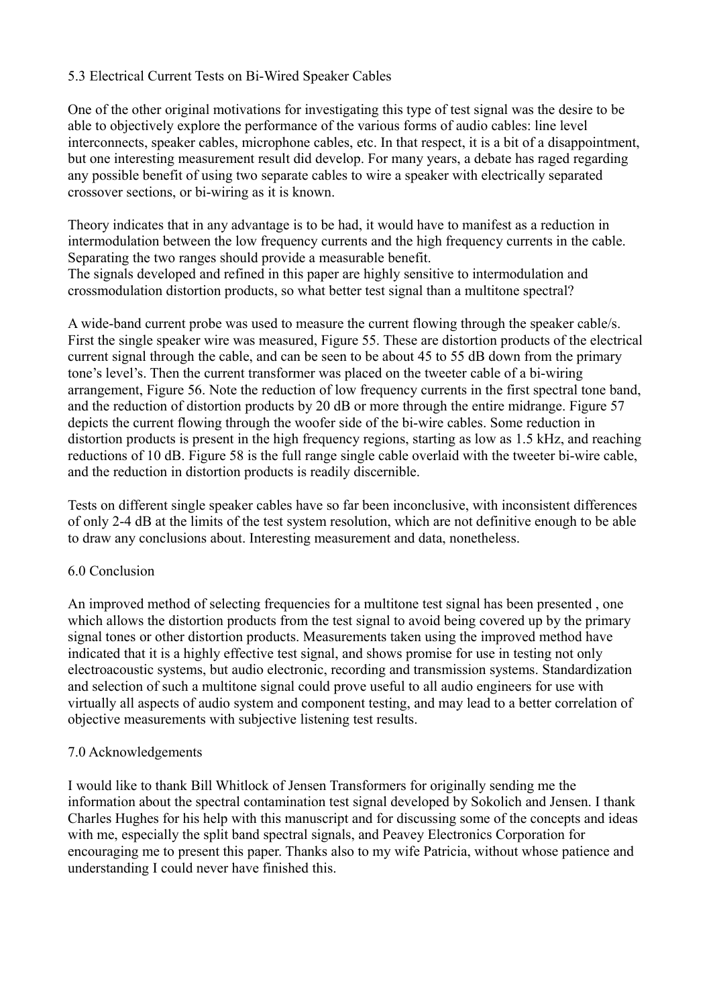### 5.3 Electrical Current Tests on Bi-Wired Speaker Cables

One of the other original motivations for investigating this type of test signal was the desire to be able to objectively explore the performance of the various forms of audio cables: line level interconnects, speaker cables, microphone cables, etc. In that respect, it is a bit of a disappointment, but one interesting measurement result did develop. For many years, a debate has raged regarding any possible benefit of using two separate cables to wire a speaker with electrically separated crossover sections, or bi-wiring as it is known.

Theory indicates that in any advantage is to be had, it would have to manifest as a reduction in intermodulation between the low frequency currents and the high frequency currents in the cable. Separating the two ranges should provide a measurable benefit. The signals developed and refined in this paper are highly sensitive to intermodulation and crossmodulation distortion products, so what better test signal than a multitone spectral?

A wide-band current probe was used to measure the current flowing through the speaker cable/s. First the single speaker wire was measured, Figure 55. These are distortion products of the electrical current signal through the cable, and can be seen to be about 45 to 55 dB down from the primary tone's level's. Then the current transformer was placed on the tweeter cable of a bi-wiring arrangement, Figure 56. Note the reduction of low frequency currents in the first spectral tone band, and the reduction of distortion products by 20 dB or more through the entire midrange. Figure 57 depicts the current flowing through the woofer side of the bi-wire cables. Some reduction in distortion products is present in the high frequency regions, starting as low as 1.5 kHz, and reaching reductions of 10 dB. Figure 58 is the full range single cable overlaid with the tweeter bi-wire cable, and the reduction in distortion products is readily discernible.

Tests on different single speaker cables have so far been inconclusive, with inconsistent differences of only 2-4 dB at the limits of the test system resolution, which are not definitive enough to be able to draw any conclusions about. Interesting measurement and data, nonetheless.

#### 6.0 Conclusion

An improved method of selecting frequencies for a multitone test signal has been presented , one which allows the distortion products from the test signal to avoid being covered up by the primary signal tones or other distortion products. Measurements taken using the improved method have indicated that it is a highly effective test signal, and shows promise for use in testing not only electroacoustic systems, but audio electronic, recording and transmission systems. Standardization and selection of such a multitone signal could prove useful to all audio engineers for use with virtually all aspects of audio system and component testing, and may lead to a better correlation of objective measurements with subjective listening test results.

### 7.0 Acknowledgements

I would like to thank Bill Whitlock of Jensen Transformers for originally sending me the information about the spectral contamination test signal developed by Sokolich and Jensen. I thank Charles Hughes for his help with this manuscript and for discussing some of the concepts and ideas with me, especially the split band spectral signals, and Peavey Electronics Corporation for encouraging me to present this paper. Thanks also to my wife Patricia, without whose patience and understanding I could never have finished this.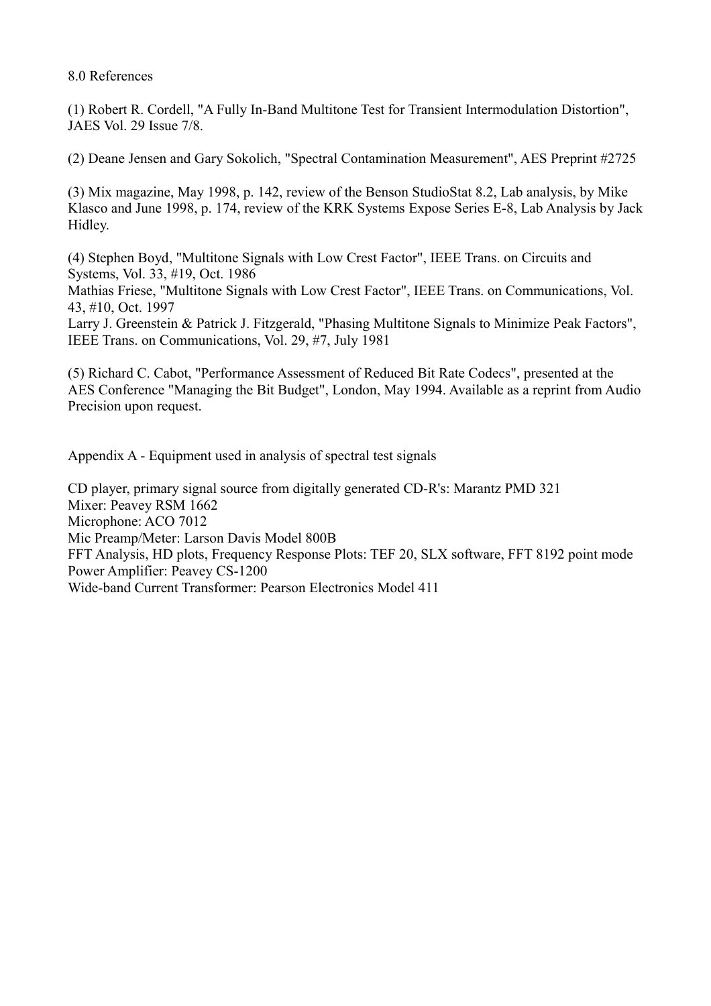8.0 References

(1) Robert R. Cordell, "A Fully In-Band Multitone Test for Transient Intermodulation Distortion", JAES Vol. 29 Issue 7/8.

(2) Deane Jensen and Gary Sokolich, "Spectral Contamination Measurement", AES Preprint #2725

(3) Mix magazine, May 1998, p. 142, review of the Benson StudioStat 8.2, Lab analysis, by Mike Klasco and June 1998, p. 174, review of the KRK Systems Expose Series E-8, Lab Analysis by Jack Hidley.

(4) Stephen Boyd, "Multitone Signals with Low Crest Factor", IEEE Trans. on Circuits and Systems, Vol. 33, #19, Oct. 1986

Mathias Friese, "Multitone Signals with Low Crest Factor", IEEE Trans. on Communications, Vol. 43, #10, Oct. 1997

Larry J. Greenstein & Patrick J. Fitzgerald, "Phasing Multitone Signals to Minimize Peak Factors", IEEE Trans. on Communications, Vol. 29, #7, July 1981

(5) Richard C. Cabot, "Performance Assessment of Reduced Bit Rate Codecs", presented at the AES Conference "Managing the Bit Budget", London, May 1994. Available as a reprint from Audio Precision upon request.

Appendix A - Equipment used in analysis of spectral test signals

CD player, primary signal source from digitally generated CD-R's: Marantz PMD 321 Mixer: Peavey RSM 1662 Microphone: ACO 7012 Mic Preamp/Meter: Larson Davis Model 800B FFT Analysis, HD plots, Frequency Response Plots: TEF 20, SLX software, FFT 8192 point mode Power Amplifier: Peavey CS-1200 Wide-band Current Transformer: Pearson Electronics Model 411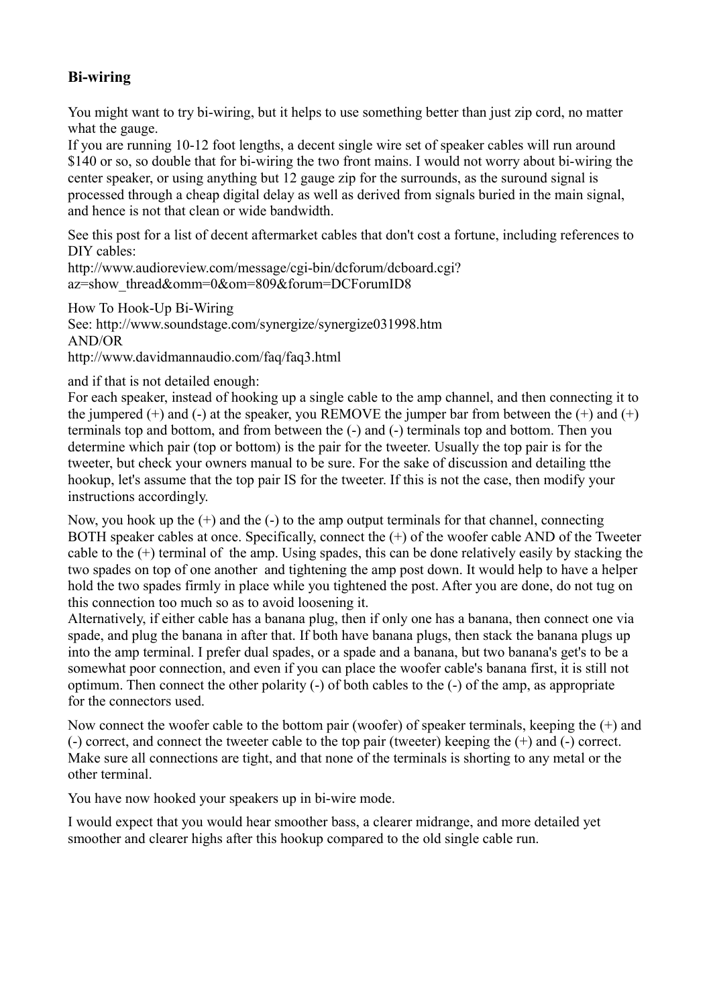## **Bi-wiring**

You might want to try bi-wiring, but it helps to use something better than just zip cord, no matter what the gauge.

If you are running 10-12 foot lengths, a decent single wire set of speaker cables will run around \$140 or so, so double that for bi-wiring the two front mains. I would not worry about bi-wiring the center speaker, or using anything but 12 gauge zip for the surrounds, as the suround signal is processed through a cheap digital delay as well as derived from signals buried in the main signal, and hence is not that clean or wide bandwidth.

See this post for a list of decent aftermarket cables that don't cost a fortune, including references to DIY cables:

http://www.audioreview.com/message/cgi-bin/dcforum/dcboard.cgi? az=show\_thread&omm=0&om=809&forum=DCForumID8

How To Hook-Up Bi-Wiring See: http://www.soundstage.com/synergize/synergize031998.htm AND/OR http://www.davidmannaudio.com/faq/faq3.html

and if that is not detailed enough:

For each speaker, instead of hooking up a single cable to the amp channel, and then connecting it to the jumpered  $(+)$  and  $(-)$  at the speaker, you REMOVE the jumper bar from between the  $(+)$  and  $(+)$ terminals top and bottom, and from between the (-) and (-) terminals top and bottom. Then you determine which pair (top or bottom) is the pair for the tweeter. Usually the top pair is for the tweeter, but check your owners manual to be sure. For the sake of discussion and detailing tthe hookup, let's assume that the top pair IS for the tweeter. If this is not the case, then modify your instructions accordingly.

Now, you hook up the  $(+)$  and the  $(-)$  to the amp output terminals for that channel, connecting BOTH speaker cables at once. Specifically, connect the (+) of the woofer cable AND of the Tweeter cable to the (+) terminal of the amp. Using spades, this can be done relatively easily by stacking the two spades on top of one another and tightening the amp post down. It would help to have a helper hold the two spades firmly in place while you tightened the post. After you are done, do not tug on this connection too much so as to avoid loosening it.

Alternatively, if either cable has a banana plug, then if only one has a banana, then connect one via spade, and plug the banana in after that. If both have banana plugs, then stack the banana plugs up into the amp terminal. I prefer dual spades, or a spade and a banana, but two banana's get's to be a somewhat poor connection, and even if you can place the woofer cable's banana first, it is still not optimum. Then connect the other polarity (-) of both cables to the (-) of the amp, as appropriate for the connectors used.

Now connect the woofer cable to the bottom pair (woofer) of speaker terminals, keeping the (+) and (-) correct, and connect the tweeter cable to the top pair (tweeter) keeping the (+) and (-) correct. Make sure all connections are tight, and that none of the terminals is shorting to any metal or the other terminal.

You have now hooked your speakers up in bi-wire mode.

I would expect that you would hear smoother bass, a clearer midrange, and more detailed yet smoother and clearer highs after this hookup compared to the old single cable run.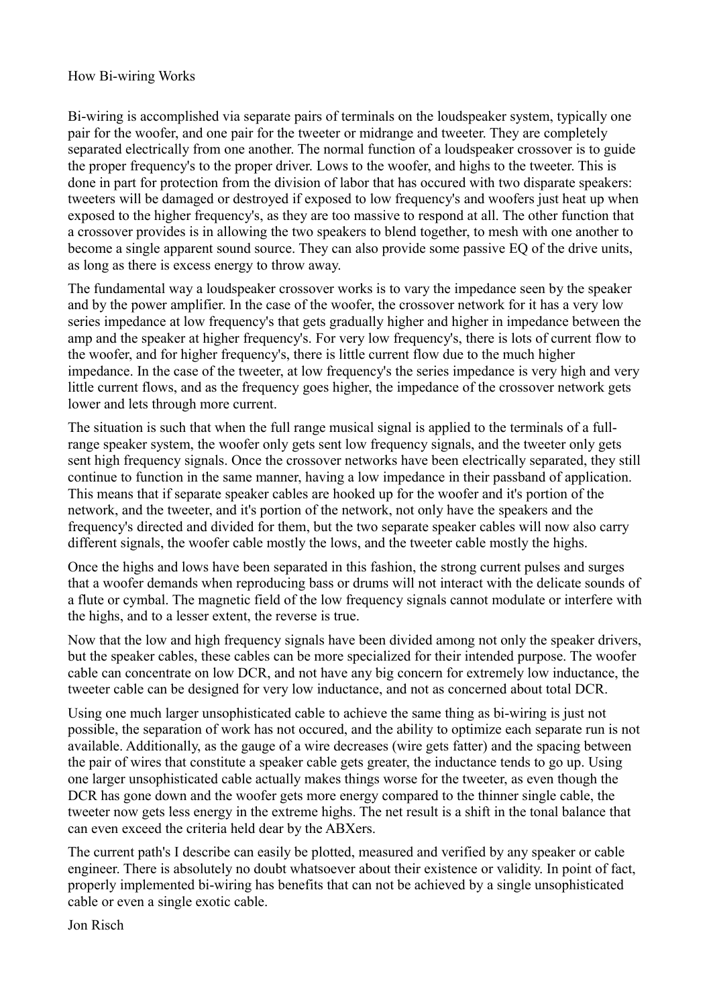#### How Bi-wiring Works

Bi-wiring is accomplished via separate pairs of terminals on the loudspeaker system, typically one pair for the woofer, and one pair for the tweeter or midrange and tweeter. They are completely separated electrically from one another. The normal function of a loudspeaker crossover is to guide the proper frequency's to the proper driver. Lows to the woofer, and highs to the tweeter. This is done in part for protection from the division of labor that has occured with two disparate speakers: tweeters will be damaged or destroyed if exposed to low frequency's and woofers just heat up when exposed to the higher frequency's, as they are too massive to respond at all. The other function that a crossover provides is in allowing the two speakers to blend together, to mesh with one another to become a single apparent sound source. They can also provide some passive EQ of the drive units, as long as there is excess energy to throw away.

The fundamental way a loudspeaker crossover works is to vary the impedance seen by the speaker and by the power amplifier. In the case of the woofer, the crossover network for it has a very low series impedance at low frequency's that gets gradually higher and higher in impedance between the amp and the speaker at higher frequency's. For very low frequency's, there is lots of current flow to the woofer, and for higher frequency's, there is little current flow due to the much higher impedance. In the case of the tweeter, at low frequency's the series impedance is very high and very little current flows, and as the frequency goes higher, the impedance of the crossover network gets lower and lets through more current.

The situation is such that when the full range musical signal is applied to the terminals of a fullrange speaker system, the woofer only gets sent low frequency signals, and the tweeter only gets sent high frequency signals. Once the crossover networks have been electrically separated, they still continue to function in the same manner, having a low impedance in their passband of application. This means that if separate speaker cables are hooked up for the woofer and it's portion of the network, and the tweeter, and it's portion of the network, not only have the speakers and the frequency's directed and divided for them, but the two separate speaker cables will now also carry different signals, the woofer cable mostly the lows, and the tweeter cable mostly the highs.

Once the highs and lows have been separated in this fashion, the strong current pulses and surges that a woofer demands when reproducing bass or drums will not interact with the delicate sounds of a flute or cymbal. The magnetic field of the low frequency signals cannot modulate or interfere with the highs, and to a lesser extent, the reverse is true.

Now that the low and high frequency signals have been divided among not only the speaker drivers, but the speaker cables, these cables can be more specialized for their intended purpose. The woofer cable can concentrate on low DCR, and not have any big concern for extremely low inductance, the tweeter cable can be designed for very low inductance, and not as concerned about total DCR.

Using one much larger unsophisticated cable to achieve the same thing as bi-wiring is just not possible, the separation of work has not occured, and the ability to optimize each separate run is not available. Additionally, as the gauge of a wire decreases (wire gets fatter) and the spacing between the pair of wires that constitute a speaker cable gets greater, the inductance tends to go up. Using one larger unsophisticated cable actually makes things worse for the tweeter, as even though the DCR has gone down and the woofer gets more energy compared to the thinner single cable, the tweeter now gets less energy in the extreme highs. The net result is a shift in the tonal balance that can even exceed the criteria held dear by the ABXers.

The current path's I describe can easily be plotted, measured and verified by any speaker or cable engineer. There is absolutely no doubt whatsoever about their existence or validity. In point of fact, properly implemented bi-wiring has benefits that can not be achieved by a single unsophisticated cable or even a single exotic cable.

Jon Risch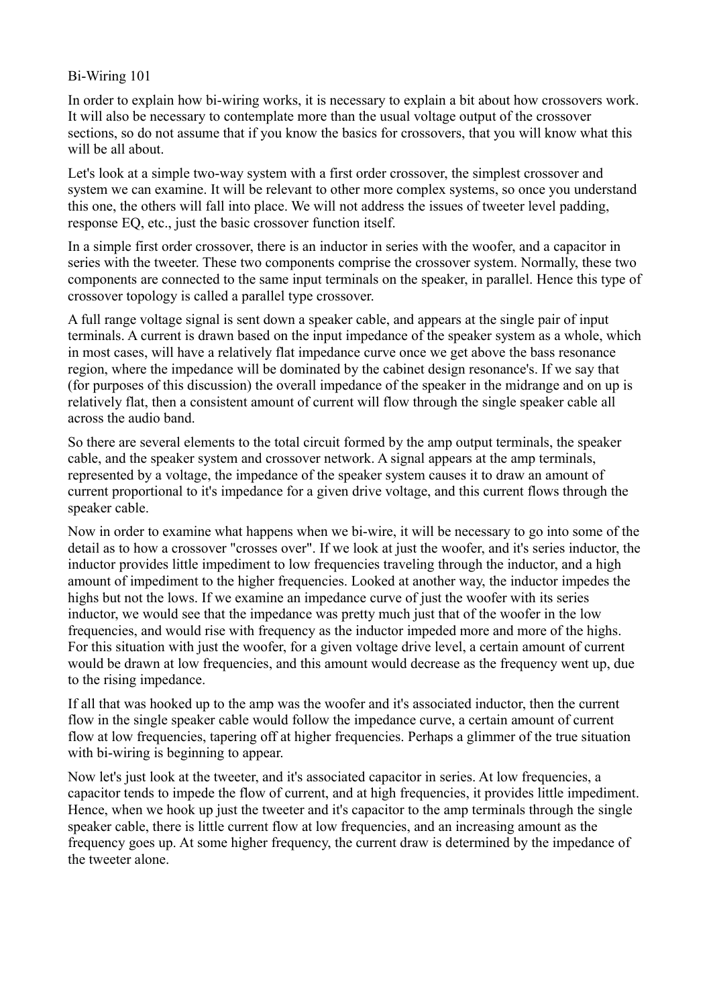#### Bi-Wiring 101

In order to explain how bi-wiring works, it is necessary to explain a bit about how crossovers work. It will also be necessary to contemplate more than the usual voltage output of the crossover sections, so do not assume that if you know the basics for crossovers, that you will know what this will be all about.

Let's look at a simple two-way system with a first order crossover, the simplest crossover and system we can examine. It will be relevant to other more complex systems, so once you understand this one, the others will fall into place. We will not address the issues of tweeter level padding, response EQ, etc., just the basic crossover function itself.

In a simple first order crossover, there is an inductor in series with the woofer, and a capacitor in series with the tweeter. These two components comprise the crossover system. Normally, these two components are connected to the same input terminals on the speaker, in parallel. Hence this type of crossover topology is called a parallel type crossover.

A full range voltage signal is sent down a speaker cable, and appears at the single pair of input terminals. A current is drawn based on the input impedance of the speaker system as a whole, which in most cases, will have a relatively flat impedance curve once we get above the bass resonance region, where the impedance will be dominated by the cabinet design resonance's. If we say that (for purposes of this discussion) the overall impedance of the speaker in the midrange and on up is relatively flat, then a consistent amount of current will flow through the single speaker cable all across the audio band.

So there are several elements to the total circuit formed by the amp output terminals, the speaker cable, and the speaker system and crossover network. A signal appears at the amp terminals, represented by a voltage, the impedance of the speaker system causes it to draw an amount of current proportional to it's impedance for a given drive voltage, and this current flows through the speaker cable.

Now in order to examine what happens when we bi-wire, it will be necessary to go into some of the detail as to how a crossover "crosses over". If we look at just the woofer, and it's series inductor, the inductor provides little impediment to low frequencies traveling through the inductor, and a high amount of impediment to the higher frequencies. Looked at another way, the inductor impedes the highs but not the lows. If we examine an impedance curve of just the woofer with its series inductor, we would see that the impedance was pretty much just that of the woofer in the low frequencies, and would rise with frequency as the inductor impeded more and more of the highs. For this situation with just the woofer, for a given voltage drive level, a certain amount of current would be drawn at low frequencies, and this amount would decrease as the frequency went up, due to the rising impedance.

If all that was hooked up to the amp was the woofer and it's associated inductor, then the current flow in the single speaker cable would follow the impedance curve, a certain amount of current flow at low frequencies, tapering off at higher frequencies. Perhaps a glimmer of the true situation with bi-wiring is beginning to appear.

Now let's just look at the tweeter, and it's associated capacitor in series. At low frequencies, a capacitor tends to impede the flow of current, and at high frequencies, it provides little impediment. Hence, when we hook up just the tweeter and it's capacitor to the amp terminals through the single speaker cable, there is little current flow at low frequencies, and an increasing amount as the frequency goes up. At some higher frequency, the current draw is determined by the impedance of the tweeter alone.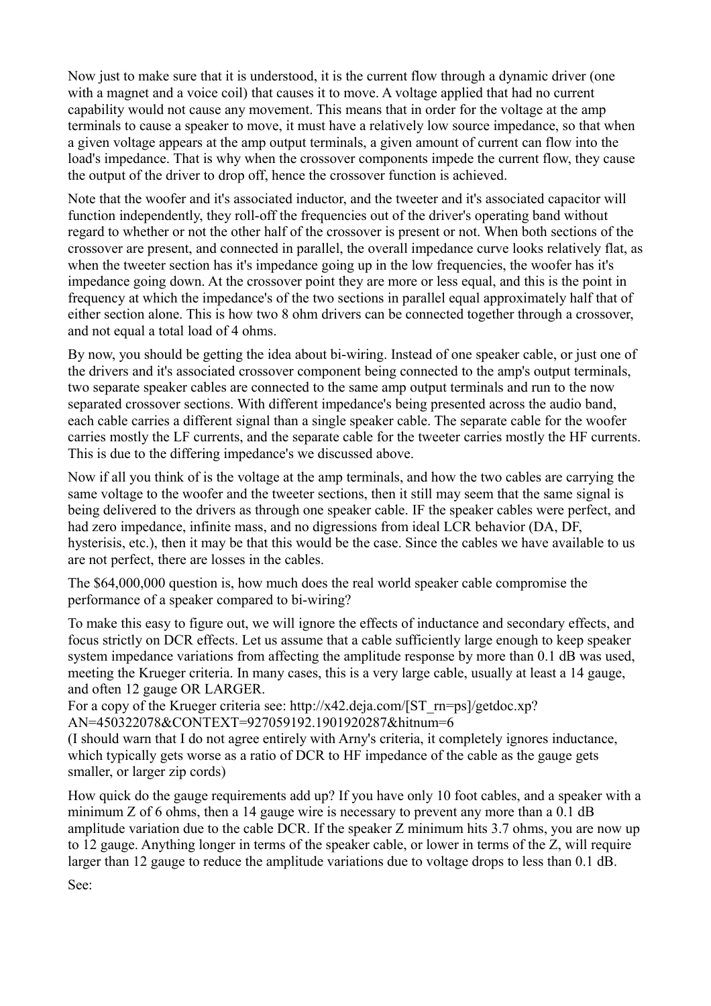Now just to make sure that it is understood, it is the current flow through a dynamic driver (one with a magnet and a voice coil) that causes it to move. A voltage applied that had no current capability would not cause any movement. This means that in order for the voltage at the amp terminals to cause a speaker to move, it must have a relatively low source impedance, so that when a given voltage appears at the amp output terminals, a given amount of current can flow into the load's impedance. That is why when the crossover components impede the current flow, they cause the output of the driver to drop off, hence the crossover function is achieved.

Note that the woofer and it's associated inductor, and the tweeter and it's associated capacitor will function independently, they roll-off the frequencies out of the driver's operating band without regard to whether or not the other half of the crossover is present or not. When both sections of the crossover are present, and connected in parallel, the overall impedance curve looks relatively flat, as when the tweeter section has it's impedance going up in the low frequencies, the woofer has it's impedance going down. At the crossover point they are more or less equal, and this is the point in frequency at which the impedance's of the two sections in parallel equal approximately half that of either section alone. This is how two 8 ohm drivers can be connected together through a crossover, and not equal a total load of 4 ohms.

By now, you should be getting the idea about bi-wiring. Instead of one speaker cable, or just one of the drivers and it's associated crossover component being connected to the amp's output terminals, two separate speaker cables are connected to the same amp output terminals and run to the now separated crossover sections. With different impedance's being presented across the audio band, each cable carries a different signal than a single speaker cable. The separate cable for the woofer carries mostly the LF currents, and the separate cable for the tweeter carries mostly the HF currents. This is due to the differing impedance's we discussed above.

Now if all you think of is the voltage at the amp terminals, and how the two cables are carrying the same voltage to the woofer and the tweeter sections, then it still may seem that the same signal is being delivered to the drivers as through one speaker cable. IF the speaker cables were perfect, and had zero impedance, infinite mass, and no digressions from ideal LCR behavior (DA, DF, hysterisis, etc.), then it may be that this would be the case. Since the cables we have available to us are not perfect, there are losses in the cables.

The \$64,000,000 question is, how much does the real world speaker cable compromise the performance of a speaker compared to bi-wiring?

To make this easy to figure out, we will ignore the effects of inductance and secondary effects, and focus strictly on DCR effects. Let us assume that a cable sufficiently large enough to keep speaker system impedance variations from affecting the amplitude response by more than 0.1 dB was used, meeting the Krueger criteria. In many cases, this is a very large cable, usually at least a 14 gauge, and often 12 gauge OR LARGER.

For a copy of the Krueger criteria see: http://x42.deja.com/[ST\_rn=ps]/getdoc.xp? AN=450322078&CONTEXT=927059192.1901920287&hitnum=6

(I should warn that I do not agree entirely with Arny's criteria, it completely ignores inductance, which typically gets worse as a ratio of DCR to HF impedance of the cable as the gauge gets smaller, or larger zip cords)

How quick do the gauge requirements add up? If you have only 10 foot cables, and a speaker with a minimum Z of 6 ohms, then a 14 gauge wire is necessary to prevent any more than a 0.1 dB amplitude variation due to the cable DCR. If the speaker Z minimum hits 3.7 ohms, you are now up to 12 gauge. Anything longer in terms of the speaker cable, or lower in terms of the Z, will require larger than 12 gauge to reduce the amplitude variations due to voltage drops to less than 0.1 dB.

See: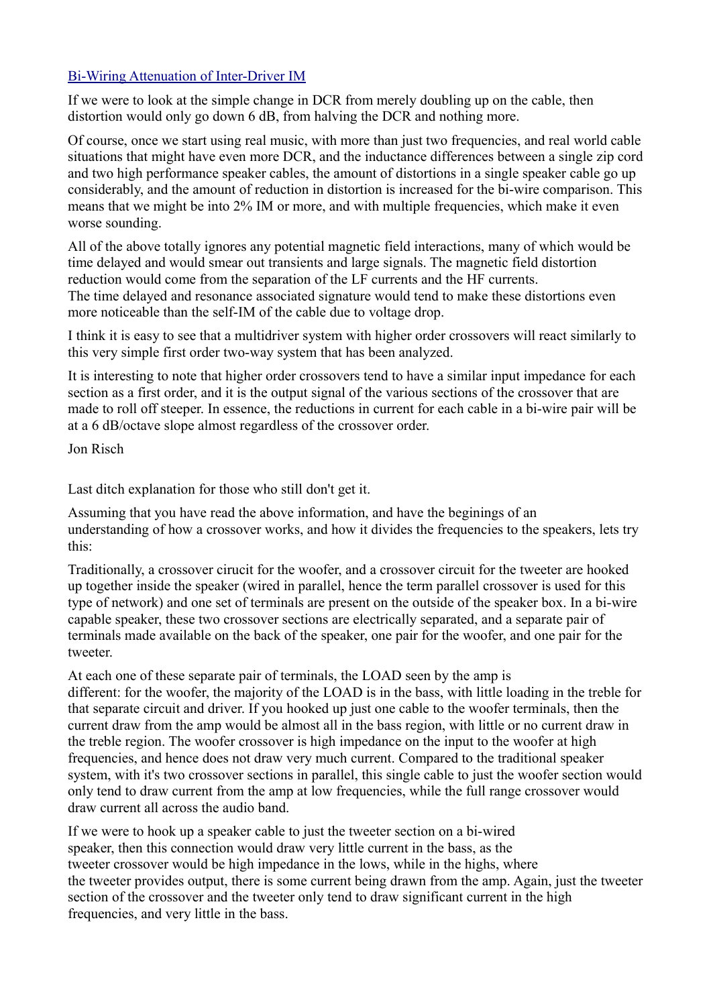## [Bi-Wiring Attenuation of Inter-Driver IM](http://web.archive.org/web/20071208042146/http://www.geocities.com/jonrisch/biwiring2.htm)

If we were to look at the simple change in DCR from merely doubling up on the cable, then distortion would only go down 6 dB, from halving the DCR and nothing more.

Of course, once we start using real music, with more than just two frequencies, and real world cable situations that might have even more DCR, and the inductance differences between a single zip cord and two high performance speaker cables, the amount of distortions in a single speaker cable go up considerably, and the amount of reduction in distortion is increased for the bi-wire comparison. This means that we might be into 2% IM or more, and with multiple frequencies, which make it even worse sounding.

All of the above totally ignores any potential magnetic field interactions, many of which would be time delayed and would smear out transients and large signals. The magnetic field distortion reduction would come from the separation of the LF currents and the HF currents. The time delayed and resonance associated signature would tend to make these distortions even more noticeable than the self-IM of the cable due to voltage drop.

I think it is easy to see that a multidriver system with higher order crossovers will react similarly to this very simple first order two-way system that has been analyzed.

It is interesting to note that higher order crossovers tend to have a similar input impedance for each section as a first order, and it is the output signal of the various sections of the crossover that are made to roll off steeper. In essence, the reductions in current for each cable in a bi-wire pair will be at a 6 dB/octave slope almost regardless of the crossover order.

Jon Risch

Last ditch explanation for those who still don't get it.

Assuming that you have read the above information, and have the beginings of an understanding of how a crossover works, and how it divides the frequencies to the speakers, lets try this:

Traditionally, a crossover cirucit for the woofer, and a crossover circuit for the tweeter are hooked up together inside the speaker (wired in parallel, hence the term parallel crossover is used for this type of network) and one set of terminals are present on the outside of the speaker box. In a bi-wire capable speaker, these two crossover sections are electrically separated, and a separate pair of terminals made available on the back of the speaker, one pair for the woofer, and one pair for the tweeter.

At each one of these separate pair of terminals, the LOAD seen by the amp is different: for the woofer, the majority of the LOAD is in the bass, with little loading in the treble for that separate circuit and driver. If you hooked up just one cable to the woofer terminals, then the current draw from the amp would be almost all in the bass region, with little or no current draw in the treble region. The woofer crossover is high impedance on the input to the woofer at high frequencies, and hence does not draw very much current. Compared to the traditional speaker system, with it's two crossover sections in parallel, this single cable to just the woofer section would only tend to draw current from the amp at low frequencies, while the full range crossover would draw current all across the audio band.

If we were to hook up a speaker cable to just the tweeter section on a bi-wired speaker, then this connection would draw very little current in the bass, as the tweeter crossover would be high impedance in the lows, while in the highs, where the tweeter provides output, there is some current being drawn from the amp. Again, just the tweeter section of the crossover and the tweeter only tend to draw significant current in the high frequencies, and very little in the bass.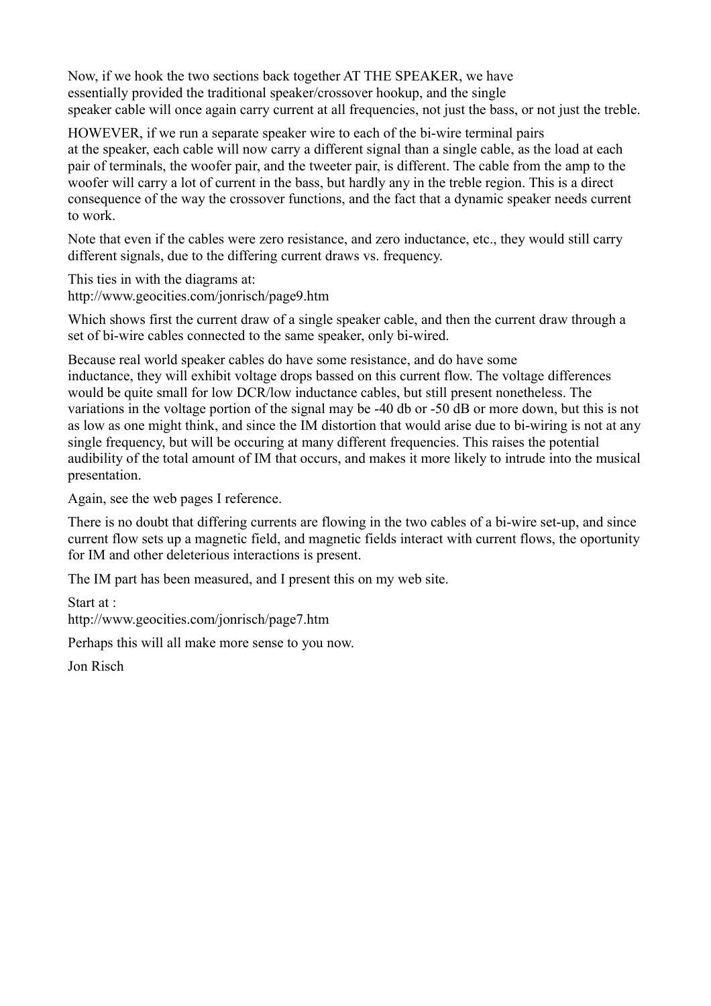Now, if we hook the two sections back together AT THE SPEAKER, we have essentially provided the traditional speaker/crossover hookup, and the single speaker cable will once again carry current at all frequencies, not just the bass, or not just the treble.

HOWEVER, if we run a separate speaker wire to each of the bi-wire terminal pairs at the speaker, each cable will now carry a different signal than a single cable, as the load at each pair of terminals, the woofer pair, and the tweeter pair, is different. The cable from the amp to the woofer will carry a lot of current in the bass, but hardly any in the treble region. This is a direct consequence of the way the crossover functions, and the fact that a dynamic speaker needs current to work.

Note that even if the cables were zero resistance, and zero inductance, etc., they would still carry different signals, due to the differing current draws vs. frequency.

This ties in with the diagrams at: http://www.geocities.com/jonrisch/page9.htm

Which shows first the current draw of a single speaker cable, and then the current draw through a set of bi-wire cables connected to the same speaker, only bi-wired.

Because real world speaker cables do have some resistance, and do have some inductance, they will exhibit voltage drops bassed on this current flow. The voltage differences would be quite small for low DCR/low inductance cables, but still present nonetheless. The variations in the voltage portion of the signal may be -40 db or -50 dB or more down, but this is not as low as one might think, and since the IM distortion that would arise due to bi-wiring is not at any single frequency, but will be occuring at many different frequencies. This raises the potential audibility of the total amount of IM that occurs, and makes it more likely to intrude into the musical presentation.

Again, see the web pages I reference.

There is no doubt that differing currents are flowing in the two cables of a bi-wire set-up, and since current flow sets up a magnetic field, and magnetic fields interact with current flows, the oportunity for IM and other deleterious interactions is present.

The IM part has been measured, and I present this on my web site.

Start at :

http://www.geocities.com/jonrisch/page7.htm

Perhaps this will all make more sense to you now.

Jon Risch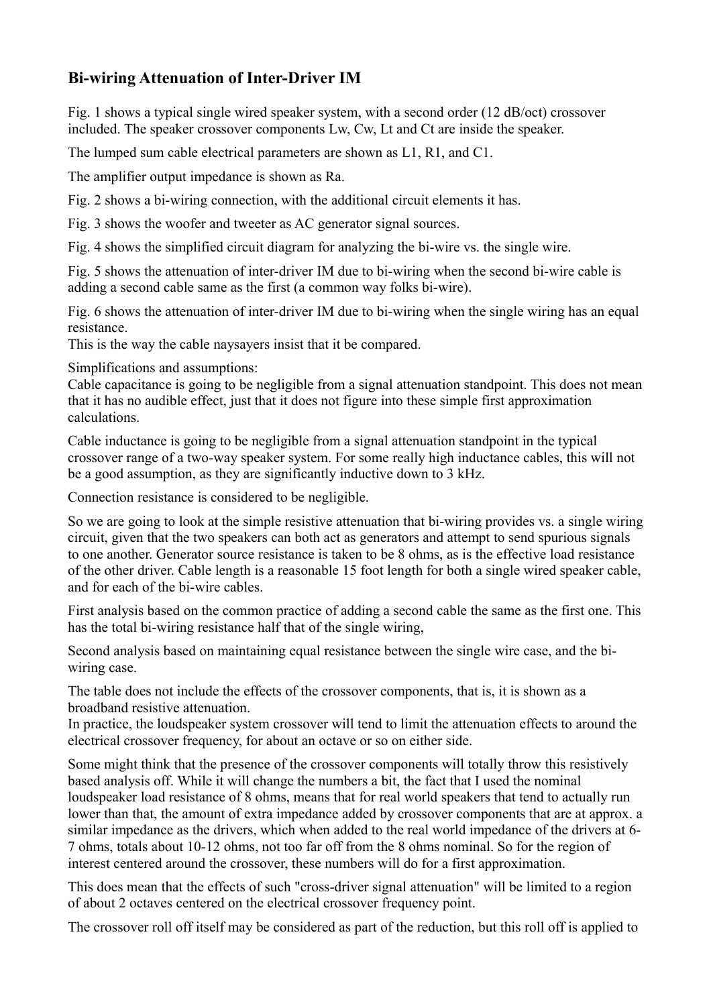# **Bi-wiring Attenuation of Inter-Driver IM**

Fig. 1 shows a typical single wired speaker system, with a second order (12 dB/oct) crossover included. The speaker crossover components Lw, Cw, Lt and Ct are inside the speaker.

The lumped sum cable electrical parameters are shown as L1, R1, and C1.

The amplifier output impedance is shown as Ra.

Fig. 2 shows a bi-wiring connection, with the additional circuit elements it has.

Fig. 3 shows the woofer and tweeter as AC generator signal sources.

Fig. 4 shows the simplified circuit diagram for analyzing the bi-wire vs. the single wire.

Fig. 5 shows the attenuation of inter-driver IM due to bi-wiring when the second bi-wire cable is adding a second cable same as the first (a common way folks bi-wire).

Fig. 6 shows the attenuation of inter-driver IM due to bi-wiring when the single wiring has an equal resistance.

This is the way the cable naysayers insist that it be compared.

Simplifications and assumptions:

Cable capacitance is going to be negligible from a signal attenuation standpoint. This does not mean that it has no audible effect, just that it does not figure into these simple first approximation calculations.

Cable inductance is going to be negligible from a signal attenuation standpoint in the typical crossover range of a two-way speaker system. For some really high inductance cables, this will not be a good assumption, as they are significantly inductive down to 3 kHz.

Connection resistance is considered to be negligible.

So we are going to look at the simple resistive attenuation that bi-wiring provides vs. a single wiring circuit, given that the two speakers can both act as generators and attempt to send spurious signals to one another. Generator source resistance is taken to be 8 ohms, as is the effective load resistance of the other driver. Cable length is a reasonable 15 foot length for both a single wired speaker cable, and for each of the bi-wire cables.

First analysis based on the common practice of adding a second cable the same as the first one. This has the total bi-wiring resistance half that of the single wiring,

Second analysis based on maintaining equal resistance between the single wire case, and the biwiring case.

The table does not include the effects of the crossover components, that is, it is shown as a broadband resistive attenuation.

In practice, the loudspeaker system crossover will tend to limit the attenuation effects to around the electrical crossover frequency, for about an octave or so on either side.

Some might think that the presence of the crossover components will totally throw this resistively based analysis off. While it will change the numbers a bit, the fact that I used the nominal loudspeaker load resistance of 8 ohms, means that for real world speakers that tend to actually run lower than that, the amount of extra impedance added by crossover components that are at approx. a similar impedance as the drivers, which when added to the real world impedance of the drivers at 6- 7 ohms, totals about 10-12 ohms, not too far off from the 8 ohms nominal. So for the region of interest centered around the crossover, these numbers will do for a first approximation.

This does mean that the effects of such "cross-driver signal attenuation" will be limited to a region of about 2 octaves centered on the electrical crossover frequency point.

The crossover roll off itself may be considered as part of the reduction, but this roll off is applied to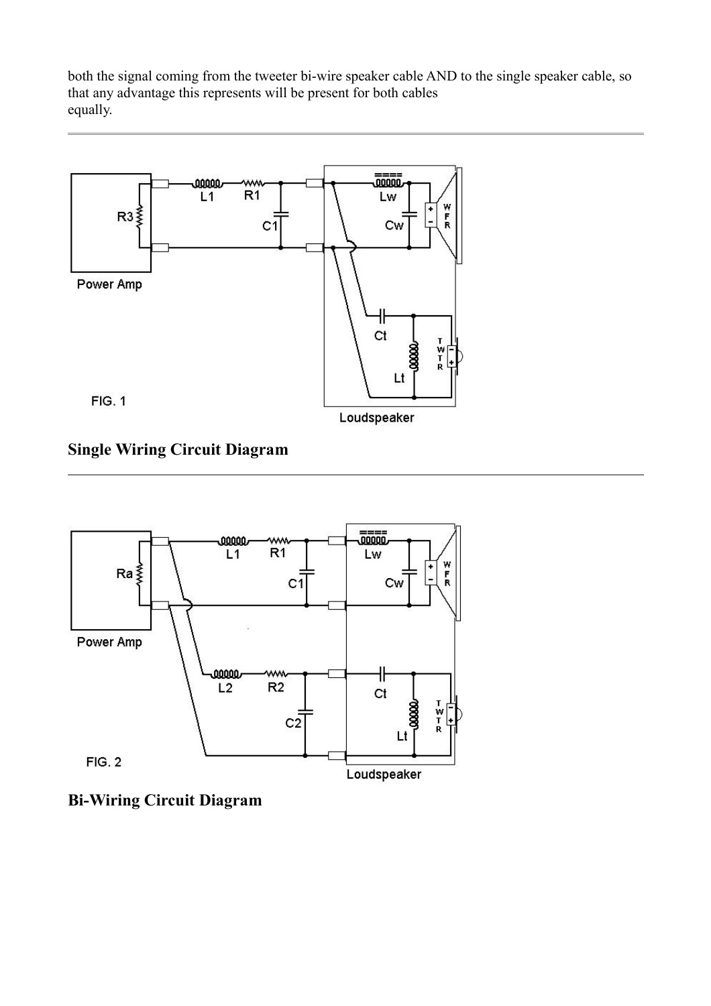both the signal coming from the tweeter bi-wire speaker cable AND to the single speaker cable, so that any advantage this represents will be present for both cables equally.



**Single Wiring Circuit Diagram**



**Bi-Wiring Circuit Diagram**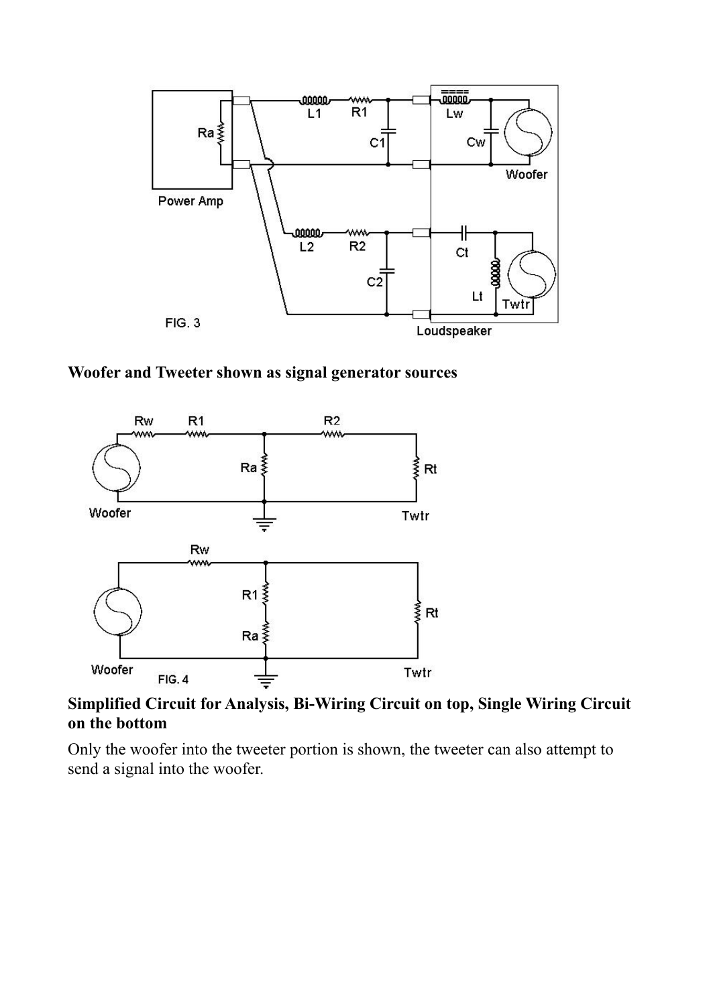

**Woofer and Tweeter shown as signal generator sources**



**Simplified Circuit for Analysis, Bi-Wiring Circuit on top, Single Wiring Circuit on the bottom**

Only the woofer into the tweeter portion is shown, the tweeter can also attempt to send a signal into the woofer.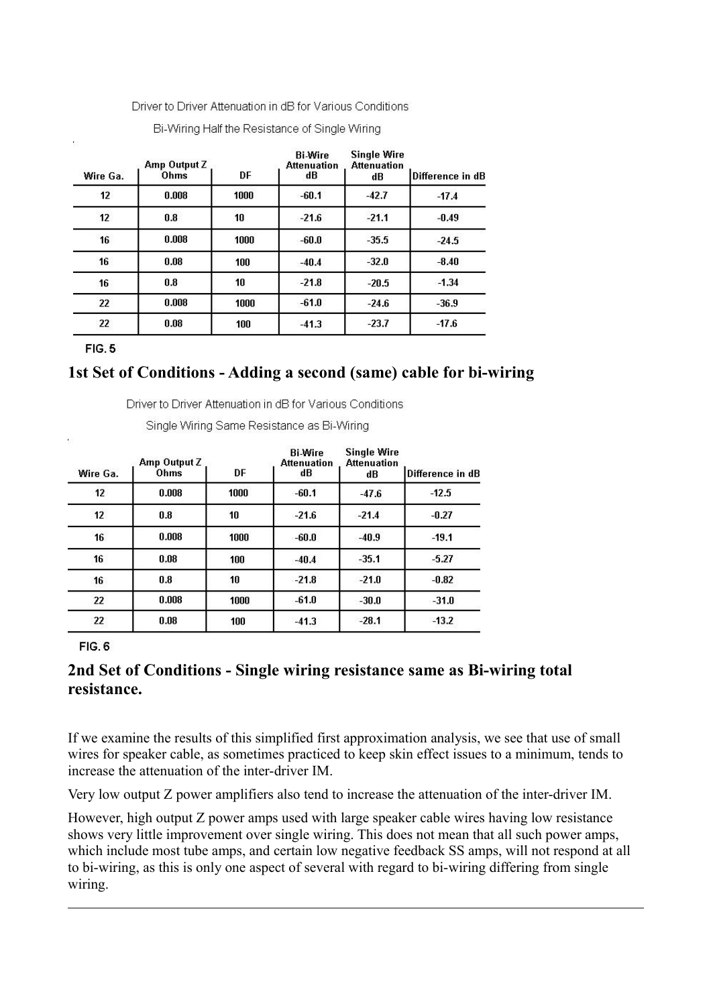Driver to Driver Attenuation in dB for Various Conditions

| Wire Ga.        | Amp Output Z<br>Ohms | DF   | <b>Bi-Wire</b><br><b>Attenuation</b><br>dB | <b>Single Wire</b><br><b>Attenuation</b><br>dB | Difference in dB |
|-----------------|----------------------|------|--------------------------------------------|------------------------------------------------|------------------|
| 12              | 0.008                | 1000 | $-60.1$                                    | $-42.7$                                        | $-17.4$          |
| 12 <sup>2</sup> | 0.8                  | 10   | $-21.6$                                    | $-21.1$                                        | $-0.49$          |
| 16              | 0.008                | 1000 | $-60.0$                                    | $-35.5$                                        | $-24.5$          |
| 16              | 0.08                 | 100  | $-40.4$                                    | $-32.0$                                        | $-8.40$          |
| 16              | 0.8                  | 10   | $-21.8$                                    | $-20.5$                                        | $-1.34$          |
| 22              | 0.008                | 1000 | $-61.0$                                    | $-24.6$                                        | $-36.9$          |
| 22              | 0.08                 | 100  | $-41.3$                                    | $-23.7$                                        | $-17.6$          |

Bi-Wiring Half the Resistance of Single Wiring

FIG.5

## **1st Set of Conditions - Adding a second (same) cable for bi-wiring**

Driver to Driver Attenuation in dB for Various Conditions

Single Wiring Same Resistance as Bi-Wiring

| Wire Ga.        | Amp Output Z<br>Ohms | DF   | <b>Bi-Wire</b><br><b>Attenuation</b><br>dB | <b>Single Wire</b><br><b>Attenuation</b><br>dB | Difference in dB |
|-----------------|----------------------|------|--------------------------------------------|------------------------------------------------|------------------|
| 12              | 0.008                | 1000 | $-60.1$                                    | $-47.6$                                        | $-12.5$          |
| 12 <sup>2</sup> | 0.8                  | 10   | $-21.6$                                    | $-21.4$                                        | $-0.27$          |
| 16              | 0.008                | 1000 | $-60.0$                                    | $-40.9$                                        | $-19.1$          |
| 16              | 0.08                 | 100  | $-40.4$                                    | $-35.1$                                        | $-5.27$          |
| 16              | 0.8                  | 10   | $-21.8$                                    | $-21.0$                                        | $-0.82$          |
| 22              | 0.008                | 1000 | $-61.0$                                    | $-30.0$                                        | $-31.0$          |
| 22              | 0.08                 | 100  | $-41.3$                                    | $-28.1$                                        | $-13.2$          |

**FIG. 6** 

## **2nd Set of Conditions - Single wiring resistance same as Bi-wiring total resistance.**

If we examine the results of this simplified first approximation analysis, we see that use of small wires for speaker cable, as sometimes practiced to keep skin effect issues to a minimum, tends to increase the attenuation of the inter-driver IM.

Very low output Z power amplifiers also tend to increase the attenuation of the inter-driver IM.

However, high output Z power amps used with large speaker cable wires having low resistance shows very little improvement over single wiring. This does not mean that all such power amps, which include most tube amps, and certain low negative feedback SS amps, will not respond at all to bi-wiring, as this is only one aspect of several with regard to bi-wiring differing from single wiring.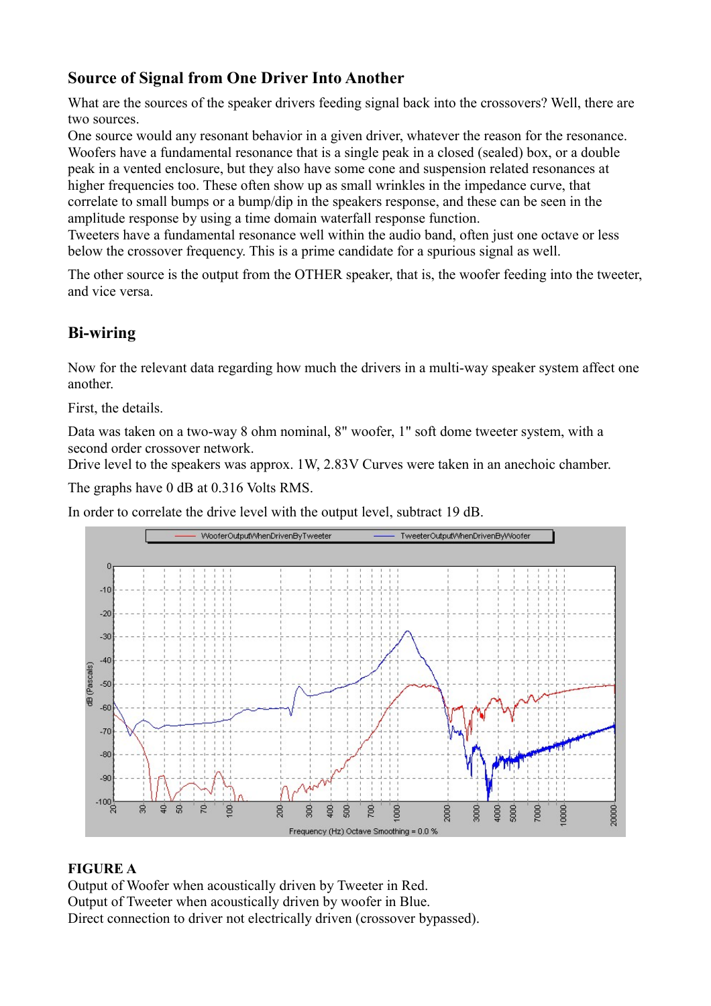# **Source of Signal from One Driver Into Another**

What are the sources of the speaker drivers feeding signal back into the crossovers? Well, there are two sources.

One source would any resonant behavior in a given driver, whatever the reason for the resonance. Woofers have a fundamental resonance that is a single peak in a closed (sealed) box, or a double peak in a vented enclosure, but they also have some cone and suspension related resonances at higher frequencies too. These often show up as small wrinkles in the impedance curve, that correlate to small bumps or a bump/dip in the speakers response, and these can be seen in the amplitude response by using a time domain waterfall response function.

Tweeters have a fundamental resonance well within the audio band, often just one octave or less below the crossover frequency. This is a prime candidate for a spurious signal as well.

The other source is the output from the OTHER speaker, that is, the woofer feeding into the tweeter, and vice versa.

# **Bi-wiring**

Now for the relevant data regarding how much the drivers in a multi-way speaker system affect one another.

First, the details.

Data was taken on a two-way 8 ohm nominal, 8" woofer, 1" soft dome tweeter system, with a second order crossover network.

Drive level to the speakers was approx. 1W, 2.83V Curves were taken in an anechoic chamber.

The graphs have 0 dB at 0.316 Volts RMS.

In order to correlate the drive level with the output level, subtract 19 dB.



## **FIGURE A**

Output of Woofer when acoustically driven by Tweeter in Red. Output of Tweeter when acoustically driven by woofer in Blue. Direct connection to driver not electrically driven (crossover bypassed).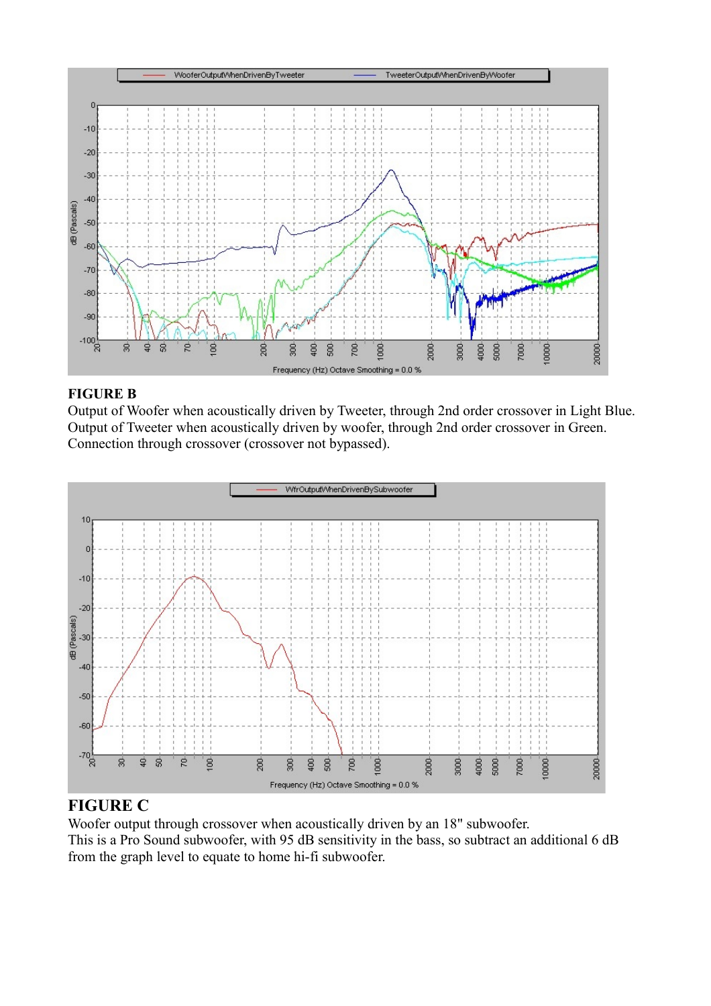

#### **FIGURE B**

Output of Woofer when acoustically driven by Tweeter, through 2nd order crossover in Light Blue. Output of Tweeter when acoustically driven by woofer, through 2nd order crossover in Green. Connection through crossover (crossover not bypassed).



## **FIGURE C**

Woofer output through crossover when acoustically driven by an 18" subwoofer. This is a Pro Sound subwoofer, with 95 dB sensitivity in the bass, so subtract an additional 6 dB from the graph level to equate to home hi-fi subwoofer.